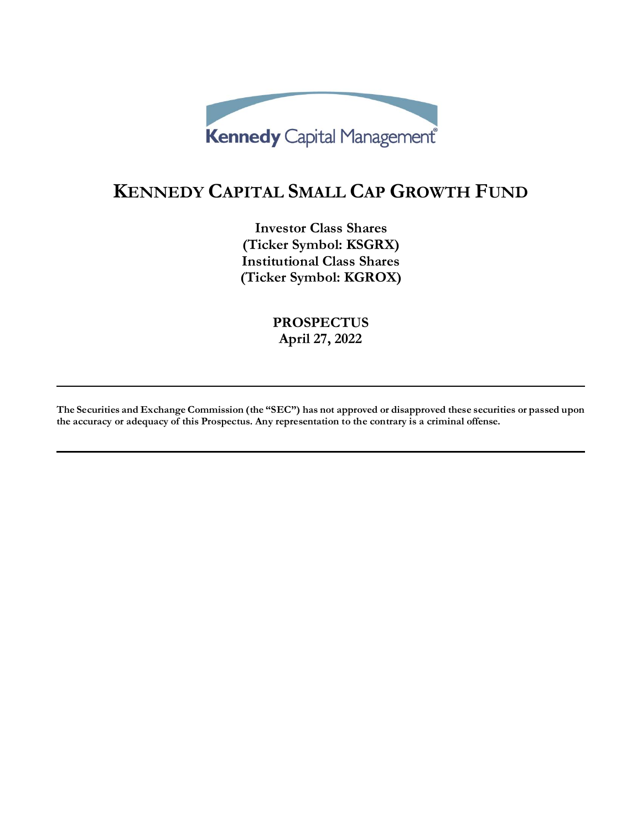

# **KENNEDY CAPITAL SMALL CAP GROWTH FUND**

**Investor Class Shares (Ticker Symbol: KSGRX) Institutional Class Shares (Ticker Symbol: KGROX)**

> **PROSPECTUS April 27, 2022**

**The Securities and Exchange Commission (the "SEC") has not approved or disapproved these securities or passed upon the accuracy or adequacy of this Prospectus. Any representation to the contrary is a criminal offense.**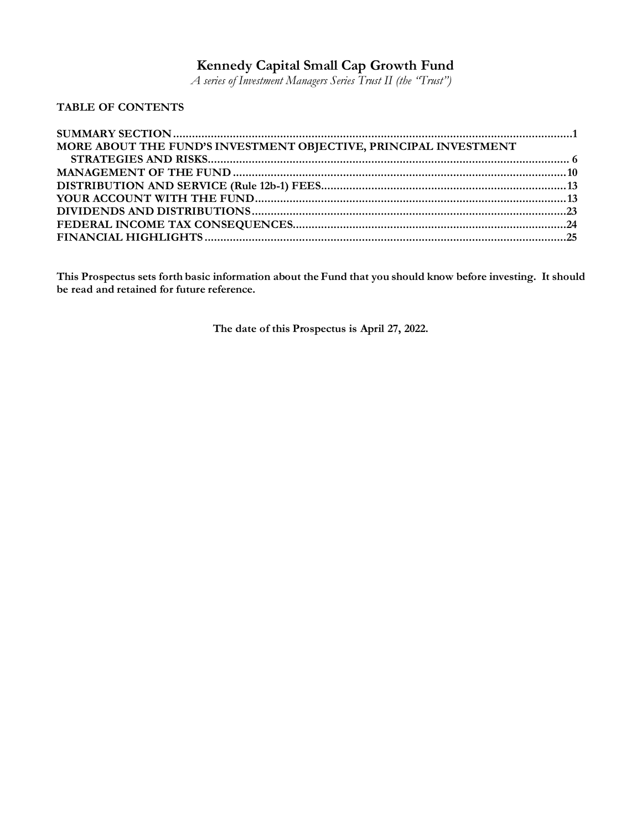# **Kennedy Capital Small Cap Growth Fund**

*A series of Investment Managers Series Trust II (the "Trust")*

# **TABLE OF CONTENTS**

| MORE ABOUT THE FUND'S INVESTMENT OBJECTIVE, PRINCIPAL INVESTMENT |  |
|------------------------------------------------------------------|--|
|                                                                  |  |
|                                                                  |  |
|                                                                  |  |
|                                                                  |  |
|                                                                  |  |
|                                                                  |  |
|                                                                  |  |

**This Prospectus sets forth basic information about the Fund that you should know before investing. It should be read and retained for future reference.**

**The date of this Prospectus is April 27, 2022.**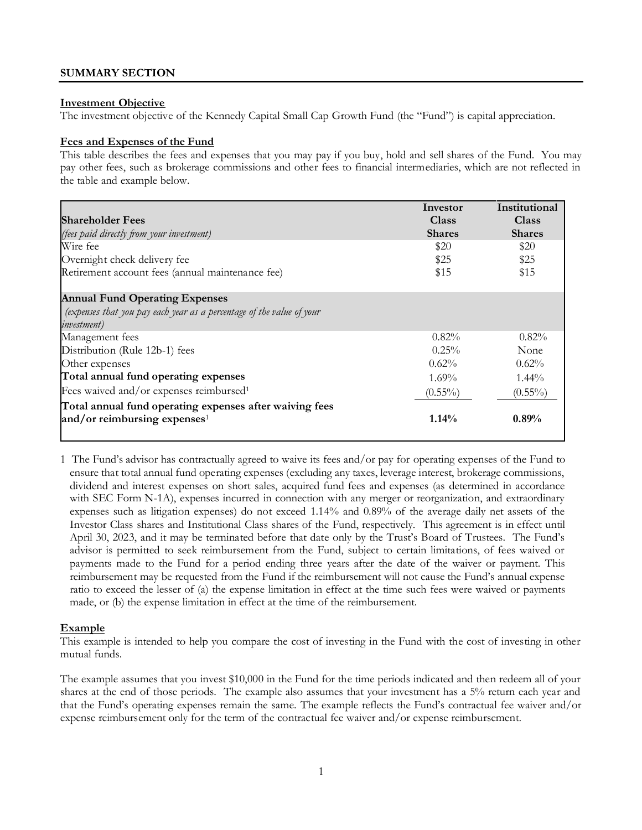# <span id="page-2-0"></span>**SUMMARY SECTION**

#### **Investment Objective**

The investment objective of the Kennedy Capital Small Cap Growth Fund (the "Fund") is capital appreciation.

#### **Fees and Expenses of the Fund**

This table describes the fees and expenses that you may pay if you buy, hold and sell shares of the Fund. You may pay other fees, such as brokerage commissions and other fees to financial intermediaries, which are not reflected in the table and example below.

|                                                                       | Investor      | Institutional |
|-----------------------------------------------------------------------|---------------|---------------|
| <b>Shareholder Fees</b>                                               | Class         | Class         |
| (fees paid directly from your investment)                             | <b>Shares</b> | <b>Shares</b> |
| Wire fee                                                              | \$20          | \$20          |
| Overnight check delivery fee                                          | \$25          | \$25          |
| Retirement account fees (annual maintenance fee)                      | \$15          | \$15          |
| <b>Annual Fund Operating Expenses</b>                                 |               |               |
| (expenses that you pay each year as a percentage of the value of your |               |               |
| <i>investment</i> )                                                   |               |               |
| Management fees                                                       | $0.82\%$      | $0.82\%$      |
| Distribution (Rule 12b-1) fees                                        | $0.25\%$      | None          |
| Other expenses                                                        | $0.62\%$      | 0.62%         |
| Total annual fund operating expenses                                  | $1.69\%$      | $1.44\%$      |
| Fees waived and/or expenses reimbursed <sup>1</sup>                   | $(0.55\%)$    | $(0.55\%)$    |
| Total annual fund operating expenses after waiving fees               |               |               |
| and/or reimbursing expenses <sup>1</sup>                              | $1.14\%$      | 0.89%         |
|                                                                       |               |               |

1 The Fund's advisor has contractually agreed to waive its fees and/or pay for operating expenses of the Fund to ensure that total annual fund operating expenses (excluding any taxes, leverage interest, brokerage commissions, dividend and interest expenses on short sales, acquired fund fees and expenses (as determined in accordance with SEC Form N-1A), expenses incurred in connection with any merger or reorganization, and extraordinary expenses such as litigation expenses) do not exceed 1.14% and 0.89% of the average daily net assets of the Investor Class shares and Institutional Class shares of the Fund, respectively. This agreement is in effect until April 30, 2023, and it may be terminated before that date only by the Trust's Board of Trustees. The Fund's advisor is permitted to seek reimbursement from the Fund, subject to certain limitations, of fees waived or payments made to the Fund for a period ending three years after the date of the waiver or payment. This reimbursement may be requested from the Fund if the reimbursement will not cause the Fund's annual expense ratio to exceed the lesser of (a) the expense limitation in effect at the time such fees were waived or payments made, or (b) the expense limitation in effect at the time of the reimbursement.

#### **Example**

This example is intended to help you compare the cost of investing in the Fund with the cost of investing in other mutual funds.

The example assumes that you invest \$10,000 in the Fund for the time periods indicated and then redeem all of your shares at the end of those periods. The example also assumes that your investment has a 5% return each year and that the Fund's operating expenses remain the same. The example reflects the Fund's contractual fee waiver and/or expense reimbursement only for the term of the contractual fee waiver and/or expense reimbursement.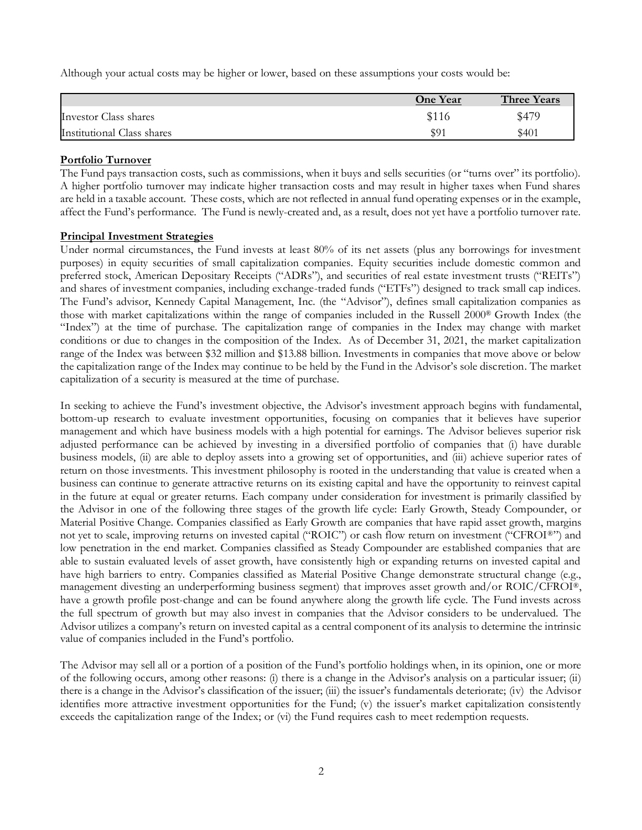Although your actual costs may be higher or lower, based on these assumptions your costs would be:

|                            | <b>One Year</b> | <b>Three Years</b> |
|----------------------------|-----------------|--------------------|
| Investor Class shares      | \$116           | \$479              |
| Institutional Class shares | \$91            | \$401              |

#### **Portfolio Turnover**

The Fund pays transaction costs, such as commissions, when it buys and sells securities (or "turns over" its portfolio). A higher portfolio turnover may indicate higher transaction costs and may result in higher taxes when Fund shares are held in a taxable account. These costs, which are not reflected in annual fund operating expenses or in the example, affect the Fund's performance. The Fund is newly-created and, as a result, does not yet have a portfolio turnover rate.

# **Principal Investment Strategies**

Under normal circumstances, the Fund invests at least 80% of its net assets (plus any borrowings for investment purposes) in equity securities of small capitalization companies. Equity securities include domestic common and preferred stock, American Depositary Receipts ("ADRs"), and securities of real estate investment trusts ("REITs") and shares of investment companies, including exchange-traded funds ("ETFs") designed to track small cap indices. The Fund's advisor, Kennedy Capital Management, Inc. (the "Advisor"), defines small capitalization companies as those with market capitalizations within the range of companies included in the Russell 2000® Growth Index (the "Index") at the time of purchase. The capitalization range of companies in the Index may change with market conditions or due to changes in the composition of the Index. As of December 31, 2021, the market capitalization range of the Index was between \$32 million and \$13.88 billion. Investments in companies that move above or below the capitalization range of the Index may continue to be held by the Fund in the Advisor's sole discretion. The market capitalization of a security is measured at the time of purchase.

In seeking to achieve the Fund's investment objective, the Advisor's investment approach begins with fundamental, bottom-up research to evaluate investment opportunities, focusing on companies that it believes have superior management and which have business models with a high potential for earnings. The Advisor believes superior risk adjusted performance can be achieved by investing in a diversified portfolio of companies that (i) have durable business models, (ii) are able to deploy assets into a growing set of opportunities, and (iii) achieve superior rates of return on those investments. This investment philosophy is rooted in the understanding that value is created when a business can continue to generate attractive returns on its existing capital and have the opportunity to reinvest capital in the future at equal or greater returns. Each company under consideration for investment is primarily classified by the Advisor in one of the following three stages of the growth life cycle: Early Growth, Steady Compounder, or Material Positive Change. Companies classified as Early Growth are companies that have rapid asset growth, margins not yet to scale, improving returns on invested capital ("ROIC") or cash flow return on investment ("CFROI®") and low penetration in the end market. Companies classified as Steady Compounder are established companies that are able to sustain evaluated levels of asset growth, have consistently high or expanding returns on invested capital and have high barriers to entry. Companies classified as Material Positive Change demonstrate structural change (e.g., management divesting an underperforming business segment) that improves asset growth and/or ROIC/CFROI®, have a growth profile post-change and can be found anywhere along the growth life cycle. The Fund invests across the full spectrum of growth but may also invest in companies that the Advisor considers to be undervalued. The Advisor utilizes a company's return on invested capital as a central component of its analysis to determine the intrinsic value of companies included in the Fund's portfolio.

The Advisor may sell all or a portion of a position of the Fund's portfolio holdings when, in its opinion, one or more of the following occurs, among other reasons: (i) there is a change in the Advisor's analysis on a particular issuer; (ii) there is a change in the Advisor's classification of the issuer; (iii) the issuer's fundamentals deteriorate; (iv) the Advisor identifies more attractive investment opportunities for the Fund; (v) the issuer's market capitalization consistently exceeds the capitalization range of the Index; or (vi) the Fund requires cash to meet redemption requests.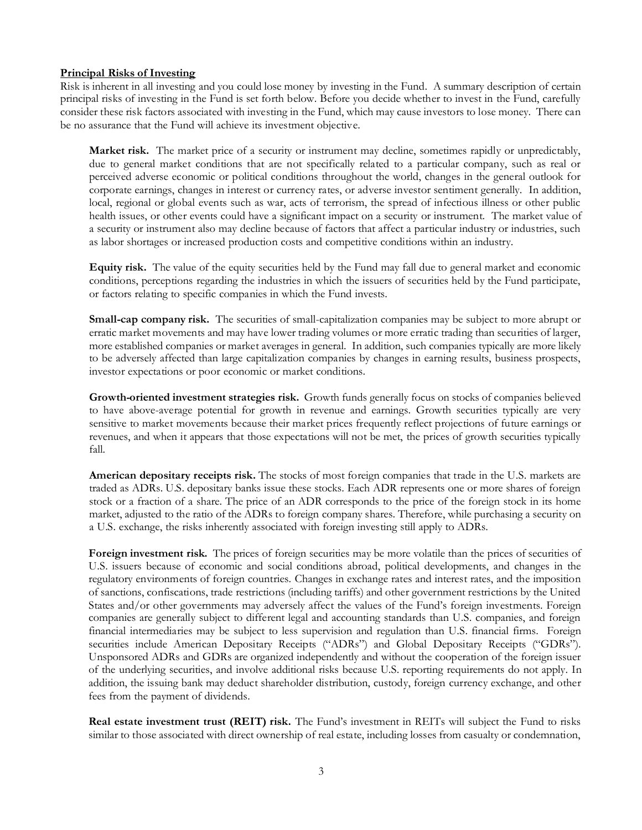# **Principal Risks of Investing**

Risk is inherent in all investing and you could lose money by investing in the Fund. A summary description of certain principal risks of investing in the Fund is set forth below. Before you decide whether to invest in the Fund, carefully consider these risk factors associated with investing in the Fund, which may cause investors to lose money. There can be no assurance that the Fund will achieve its investment objective.

**Market risk.** The market price of a security or instrument may decline, sometimes rapidly or unpredictably, due to general market conditions that are not specifically related to a particular company, such as real or perceived adverse economic or political conditions throughout the world, changes in the general outlook for corporate earnings, changes in interest or currency rates, or adverse investor sentiment generally. In addition, local, regional or global events such as war, acts of terrorism, the spread of infectious illness or other public health issues, or other events could have a significant impact on a security or instrument. The market value of a security or instrument also may decline because of factors that affect a particular industry or industries, such as labor shortages or increased production costs and competitive conditions within an industry.

**Equity risk.** The value of the equity securities held by the Fund may fall due to general market and economic conditions, perceptions regarding the industries in which the issuers of securities held by the Fund participate, or factors relating to specific companies in which the Fund invests.

**Small-cap company risk.** The securities of small-capitalization companies may be subject to more abrupt or erratic market movements and may have lower trading volumes or more erratic trading than securities of larger, more established companies or market averages in general. In addition, such companies typically are more likely to be adversely affected than large capitalization companies by changes in earning results, business prospects, investor expectations or poor economic or market conditions.

**Growth-oriented investment strategies risk.** Growth funds generally focus on stocks of companies believed to have above-average potential for growth in revenue and earnings. Growth securities typically are very sensitive to market movements because their market prices frequently reflect projections of future earnings or revenues, and when it appears that those expectations will not be met, the prices of growth securities typically fall.

**American depositary receipts risk.** The stocks of most foreign companies that trade in the U.S. markets are traded as ADRs. U.S. depositary banks issue these stocks. Each ADR represents one or more shares of foreign stock or a fraction of a share. The price of an ADR corresponds to the price of the foreign stock in its home market, adjusted to the ratio of the ADRs to foreign company shares. Therefore, while purchasing a security on a U.S. exchange, the risks inherently associated with foreign investing still apply to ADRs.

**Foreign investment risk.** The prices of foreign securities may be more volatile than the prices of securities of U.S. issuers because of economic and social conditions abroad, political developments, and changes in the regulatory environments of foreign countries. Changes in exchange rates and interest rates, and the imposition of sanctions, confiscations, trade restrictions (including tariffs) and other government restrictions by the United States and/or other governments may adversely affect the values of the Fund's foreign investments. Foreign companies are generally subject to different legal and accounting standards than U.S. companies, and foreign financial intermediaries may be subject to less supervision and regulation than U.S. financial firms. Foreign securities include American Depositary Receipts ("ADRs") and Global Depositary Receipts ("GDRs"). Unsponsored ADRs and GDRs are organized independently and without the cooperation of the foreign issuer of the underlying securities, and involve additional risks because U.S. reporting requirements do not apply. In addition, the issuing bank may deduct shareholder distribution, custody, foreign currency exchange, and other fees from the payment of dividends.

**Real estate investment trust (REIT) risk.** The Fund's investment in REITs will subject the Fund to risks similar to those associated with direct ownership of real estate, including losses from casualty or condemnation,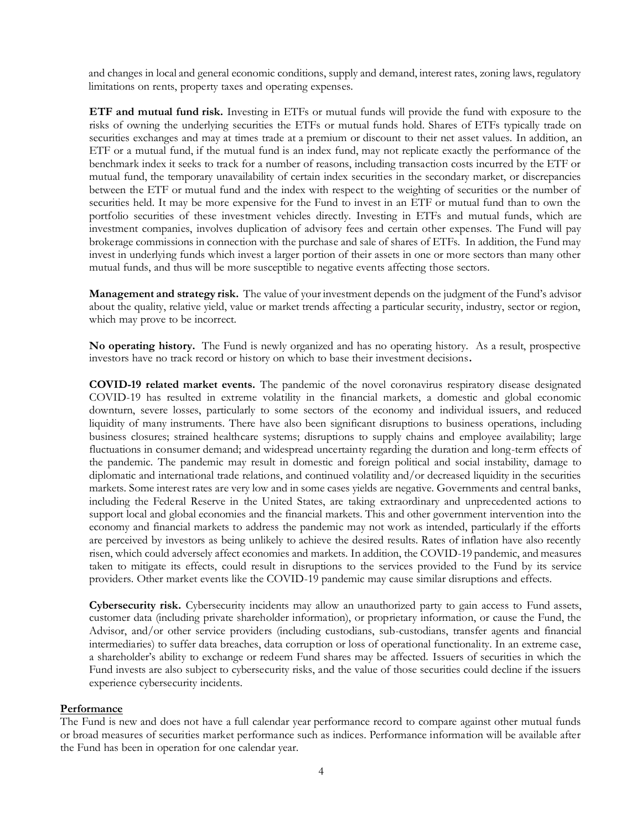and changes in local and general economic conditions, supply and demand, interest rates, zoning laws, regulatory limitations on rents, property taxes and operating expenses.

**ETF and mutual fund risk.** Investing in ETFs or mutual funds will provide the fund with exposure to the risks of owning the underlying securities the ETFs or mutual funds hold. Shares of ETFs typically trade on securities exchanges and may at times trade at a premium or discount to their net asset values. In addition, an ETF or a mutual fund, if the mutual fund is an index fund, may not replicate exactly the performance of the benchmark index it seeks to track for a number of reasons, including transaction costs incurred by the ETF or mutual fund, the temporary unavailability of certain index securities in the secondary market, or discrepancies between the ETF or mutual fund and the index with respect to the weighting of securities or the number of securities held. It may be more expensive for the Fund to invest in an ETF or mutual fund than to own the portfolio securities of these investment vehicles directly. Investing in ETFs and mutual funds, which are investment companies, involves duplication of advisory fees and certain other expenses. The Fund will pay brokerage commissions in connection with the purchase and sale of shares of ETFs. In addition, the Fund may invest in underlying funds which invest a larger portion of their assets in one or more sectors than many other mutual funds, and thus will be more susceptible to negative events affecting those sectors.

**Management and strategy risk.** The value of your investment depends on the judgment of the Fund's advisor about the quality, relative yield, value or market trends affecting a particular security, industry, sector or region, which may prove to be incorrect.

**No operating history.** The Fund is newly organized and has no operating history. As a result, prospective investors have no track record or history on which to base their investment decisions**.**

**COVID-19 related market events.** The pandemic of the novel coronavirus respiratory disease designated COVID-19 has resulted in extreme volatility in the financial markets, a domestic and global economic downturn, severe losses, particularly to some sectors of the economy and individual issuers, and reduced liquidity of many instruments. There have also been significant disruptions to business operations, including business closures; strained healthcare systems; disruptions to supply chains and employee availability; large fluctuations in consumer demand; and widespread uncertainty regarding the duration and long-term effects of the pandemic. The pandemic may result in domestic and foreign political and social instability, damage to diplomatic and international trade relations, and continued volatility and/or decreased liquidity in the securities markets. Some interest rates are very low and in some cases yields are negative. Governments and central banks, including the Federal Reserve in the United States, are taking extraordinary and unprecedented actions to support local and global economies and the financial markets. This and other government intervention into the economy and financial markets to address the pandemic may not work as intended, particularly if the efforts are perceived by investors as being unlikely to achieve the desired results. Rates of inflation have also recently risen, which could adversely affect economies and markets. In addition, the COVID-19 pandemic, and measures taken to mitigate its effects, could result in disruptions to the services provided to the Fund by its service providers. Other market events like the COVID-19 pandemic may cause similar disruptions and effects.

**Cybersecurity risk.** Cybersecurity incidents may allow an unauthorized party to gain access to Fund assets, customer data (including private shareholder information), or proprietary information, or cause the Fund, the Advisor, and/or other service providers (including custodians, sub-custodians, transfer agents and financial intermediaries) to suffer data breaches, data corruption or loss of operational functionality. In an extreme case, a shareholder's ability to exchange or redeem Fund shares may be affected. Issuers of securities in which the Fund invests are also subject to cybersecurity risks, and the value of those securities could decline if the issuers experience cybersecurity incidents.

#### **Performance**

The Fund is new and does not have a full calendar year performance record to compare against other mutual funds or broad measures of securities market performance such as indices. Performance information will be available after the Fund has been in operation for one calendar year.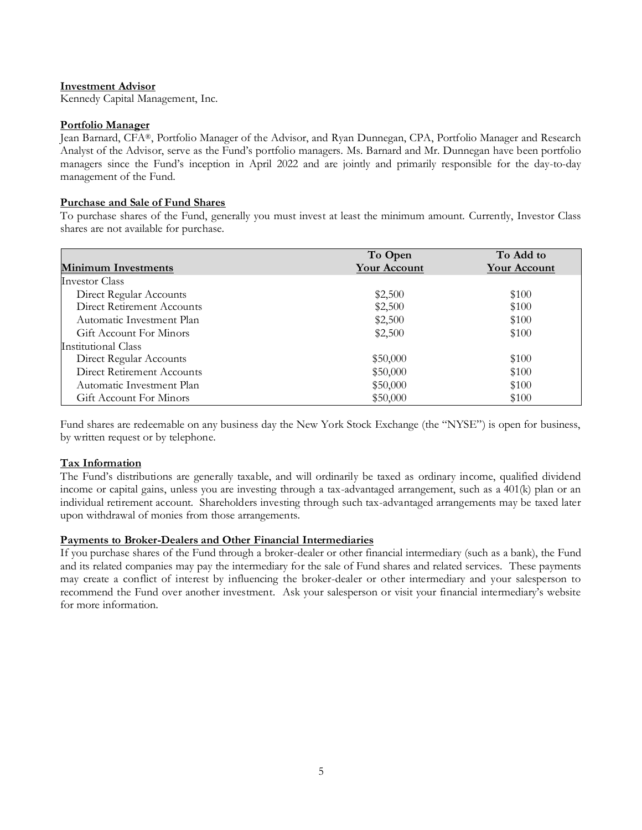# **Investment Advisor**

Kennedy Capital Management, Inc.

#### **Portfolio Manager**

Jean Barnard, CFA®, Portfolio Manager of the Advisor, and Ryan Dunnegan, CPA, Portfolio Manager and Research Analyst of the Advisor, serve as the Fund's portfolio managers. Ms. Barnard and Mr. Dunnegan have been portfolio managers since the Fund's inception in April 2022 and are jointly and primarily responsible for the day-to-day management of the Fund.

# **Purchase and Sale of Fund Shares**

To purchase shares of the Fund, generally you must invest at least the minimum amount. Currently, Investor Class shares are not available for purchase.

|                            | To Open             | To Add to           |
|----------------------------|---------------------|---------------------|
| <b>Minimum Investments</b> | <b>Your Account</b> | <b>Your Account</b> |
| Investor Class             |                     |                     |
| Direct Regular Accounts    | \$2,500             | \$100               |
| Direct Retirement Accounts | \$2,500             | \$100               |
| Automatic Investment Plan  | \$2,500             | \$100               |
| Gift Account For Minors    | \$2,500             | \$100               |
| Institutional Class        |                     |                     |
| Direct Regular Accounts    | \$50,000            | \$100               |
| Direct Retirement Accounts | \$50,000            | \$100               |
| Automatic Investment Plan  | \$50,000            | \$100               |
| Gift Account For Minors    | \$50,000            | \$100               |

Fund shares are redeemable on any business day the New York Stock Exchange (the "NYSE") is open for business, by written request or by telephone.

# **Tax Information**

The Fund's distributions are generally taxable, and will ordinarily be taxed as ordinary income, qualified dividend income or capital gains, unless you are investing through a tax-advantaged arrangement, such as a 401(k) plan or an individual retirement account. Shareholders investing through such tax-advantaged arrangements may be taxed later upon withdrawal of monies from those arrangements.

#### **Payments to Broker-Dealers and Other Financial Intermediaries**

If you purchase shares of the Fund through a broker-dealer or other financial intermediary (such as a bank), the Fund and its related companies may pay the intermediary for the sale of Fund shares and related services. These payments may create a conflict of interest by influencing the broker-dealer or other intermediary and your salesperson to recommend the Fund over another investment. Ask your salesperson or visit your financial intermediary's website for more information.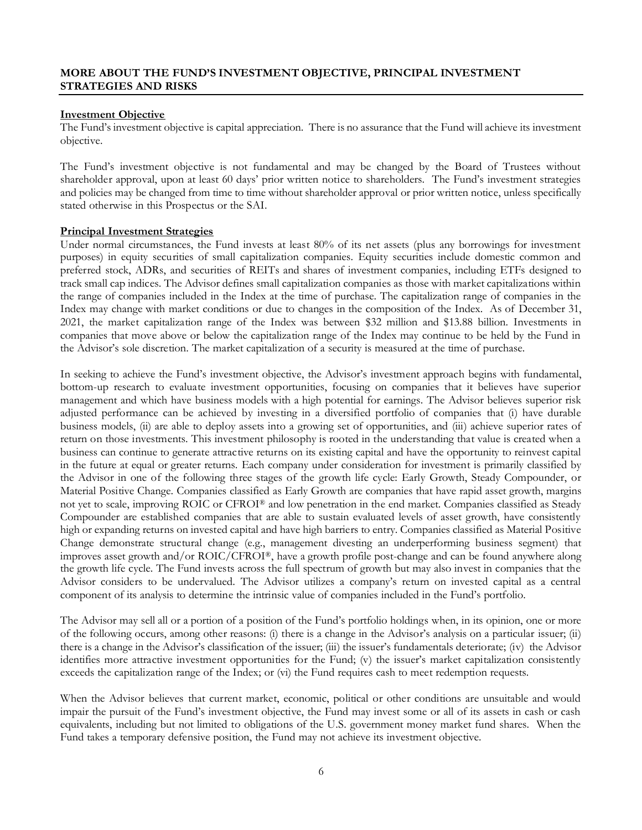# <span id="page-7-0"></span>**MORE ABOUT THE FUND'S INVESTMENT OBJECTIVE, PRINCIPAL INVESTMENT STRATEGIES AND RISKS**

# **Investment Objective**

The Fund's investment objective is capital appreciation. There is no assurance that the Fund will achieve its investment objective.

The Fund's investment objective is not fundamental and may be changed by the Board of Trustees without shareholder approval, upon at least 60 days' prior written notice to shareholders. The Fund's investment strategies and policies may be changed from time to time without shareholder approval or prior written notice, unless specifically stated otherwise in this Prospectus or the SAI.

# **Principal Investment Strategies**

Under normal circumstances, the Fund invests at least 80% of its net assets (plus any borrowings for investment purposes) in equity securities of small capitalization companies. Equity securities include domestic common and preferred stock, ADRs, and securities of REITs and shares of investment companies, including ETFs designed to track small cap indices. The Advisor defines small capitalization companies as those with market capitalizations within the range of companies included in the Index at the time of purchase. The capitalization range of companies in the Index may change with market conditions or due to changes in the composition of the Index. As of December 31, 2021, the market capitalization range of the Index was between \$32 million and \$13.88 billion. Investments in companies that move above or below the capitalization range of the Index may continue to be held by the Fund in the Advisor's sole discretion. The market capitalization of a security is measured at the time of purchase.

In seeking to achieve the Fund's investment objective, the Advisor's investment approach begins with fundamental, bottom-up research to evaluate investment opportunities, focusing on companies that it believes have superior management and which have business models with a high potential for earnings. The Advisor believes superior risk adjusted performance can be achieved by investing in a diversified portfolio of companies that (i) have durable business models, (ii) are able to deploy assets into a growing set of opportunities, and (iii) achieve superior rates of return on those investments. This investment philosophy is rooted in the understanding that value is created when a business can continue to generate attractive returns on its existing capital and have the opportunity to reinvest capital in the future at equal or greater returns. Each company under consideration for investment is primarily classified by the Advisor in one of the following three stages of the growth life cycle: Early Growth, Steady Compounder, or Material Positive Change. Companies classified as Early Growth are companies that have rapid asset growth, margins not yet to scale, improving ROIC or CFROI® and low penetration in the end market. Companies classified as Steady Compounder are established companies that are able to sustain evaluated levels of asset growth, have consistently high or expanding returns on invested capital and have high barriers to entry. Companies classified as Material Positive Change demonstrate structural change (e.g., management divesting an underperforming business segment) that improves asset growth and/or ROIC/CFROI®, have a growth profile post-change and can be found anywhere along the growth life cycle. The Fund invests across the full spectrum of growth but may also invest in companies that the Advisor considers to be undervalued. The Advisor utilizes a company's return on invested capital as a central component of its analysis to determine the intrinsic value of companies included in the Fund's portfolio.

The Advisor may sell all or a portion of a position of the Fund's portfolio holdings when, in its opinion, one or more of the following occurs, among other reasons: (i) there is a change in the Advisor's analysis on a particular issuer; (ii) there is a change in the Advisor's classification of the issuer; (iii) the issuer's fundamentals deteriorate; (iv) the Advisor identifies more attractive investment opportunities for the Fund; (v) the issuer's market capitalization consistently exceeds the capitalization range of the Index; or (vi) the Fund requires cash to meet redemption requests.

When the Advisor believes that current market, economic, political or other conditions are unsuitable and would impair the pursuit of the Fund's investment objective, the Fund may invest some or all of its assets in cash or cash equivalents, including but not limited to obligations of the U.S. government money market fund shares. When the Fund takes a temporary defensive position, the Fund may not achieve its investment objective.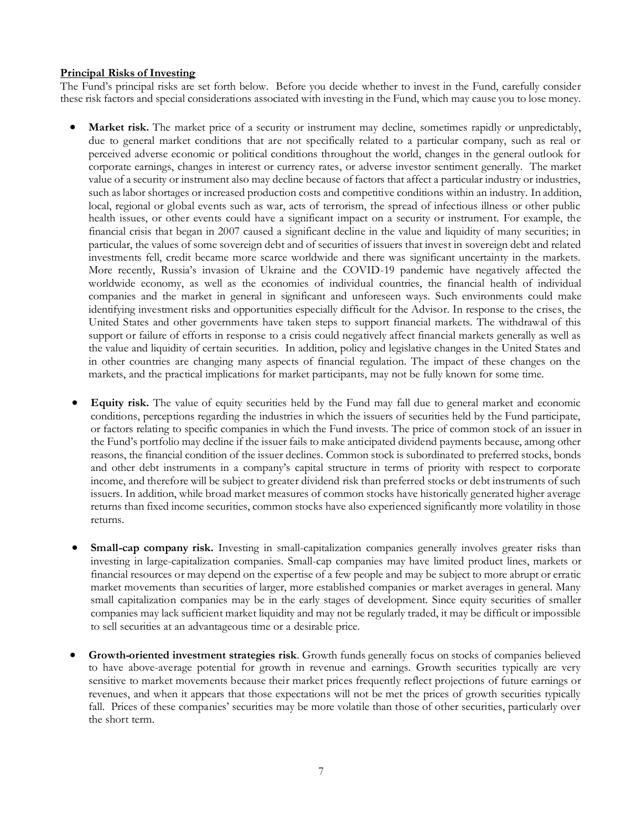# **Principal Risks of Investing**

The Fund's principal risks are set forth below. Before you decide whether to invest in the Fund, carefully consider these risk factors and special considerations associated with investing in the Fund, which may cause you to lose money.

- **Market risk.** The market price of a security or instrument may decline, sometimes rapidly or unpredictably, due to general market conditions that are not specifically related to a particular company, such as real or perceived adverse economic or political conditions throughout the world, changes in the general outlook for corporate earnings, changes in interest or currency rates, or adverse investor sentiment generally. The market value of a security or instrument also may decline because of factors that affect a particular industry or industries, such as labor shortages or increased production costs and competitive conditions within an industry. In addition, local, regional or global events such as war, acts of terrorism, the spread of infectious illness or other public health issues, or other events could have a significant impact on a security or instrument. For example, the financial crisis that began in 2007 caused a significant decline in the value and liquidity of many securities; in particular, the values of some sovereign debt and of securities of issuers that invest in sovereign debt and related investments fell, credit became more scarce worldwide and there was significant uncertainty in the markets. More recently, Russia's invasion of Ukraine and the COVID-19 pandemic have negatively affected the worldwide economy, as well as the economies of individual countries, the financial health of individual companies and the market in general in significant and unforeseen ways. Such environments could make identifying investment risks and opportunities especially difficult for the Advisor. In response to the crises, the United States and other governments have taken steps to support financial markets. The withdrawal of this support or failure of efforts in response to a crisis could negatively affect financial markets generally as well as the value and liquidity of certain securities. In addition, policy and legislative changes in the United States and in other countries are changing many aspects of financial regulation. The impact of these changes on the markets, and the practical implications for market participants, may not be fully known for some time.
- **Equity risk.** The value of equity securities held by the Fund may fall due to general market and economic conditions, perceptions regarding the industries in which the issuers of securities held by the Fund participate, or factors relating to specific companies in which the Fund invests. The price of common stock of an issuer in the Fund's portfolio may decline if the issuer fails to make anticipated dividend payments because, among other reasons, the financial condition of the issuer declines. Common stock is subordinated to preferred stocks, bonds and other debt instruments in a company's capital structure in terms of priority with respect to corporate income, and therefore will be subject to greater dividend risk than preferred stocks or debt instruments of such issuers. In addition, while broad market measures of common stocks have historically generated higher average returns than fixed income securities, common stocks have also experienced significantly more volatility in those returns.
- **Small-cap company risk.** Investing in small-capitalization companies generally involves greater risks than investing in large-capitalization companies. Small-cap companies may have limited product lines, markets or financial resources or may depend on the expertise of a few people and may be subject to more abrupt or erratic market movements than securities of larger, more established companies or market averages in general. Many small capitalization companies may be in the early stages of development. Since equity securities of smaller companies may lack sufficient market liquidity and may not be regularly traded, it may be difficult or impossible to sell securities at an advantageous time or a desirable price.
- **Growth-oriented investment strategies risk**. Growth funds generally focus on stocks of companies believed to have above-average potential for growth in revenue and earnings. Growth securities typically are very sensitive to market movements because their market prices frequently reflect projections of future earnings or revenues, and when it appears that those expectations will not be met the prices of growth securities typically fall. Prices of these companies' securities may be more volatile than those of other securities, particularly over the short term.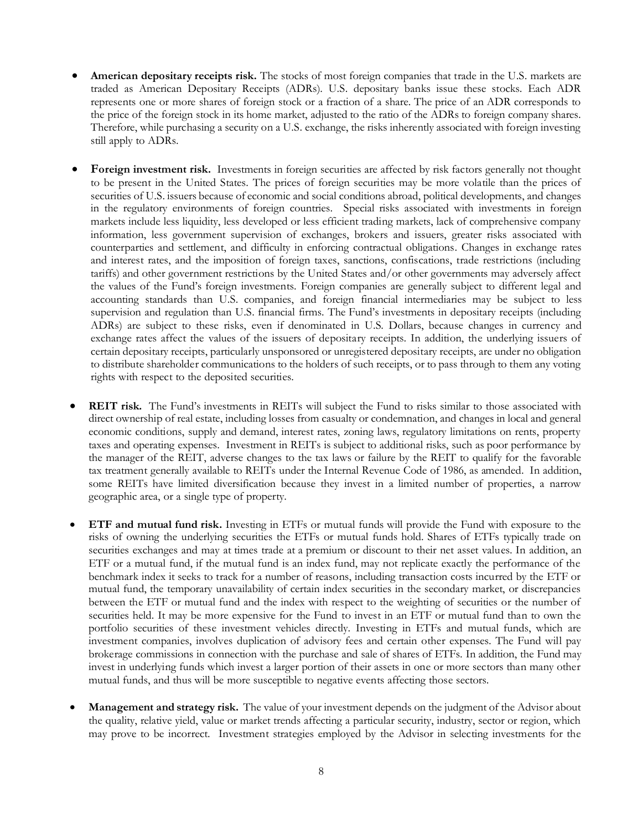- **American depositary receipts risk.** The stocks of most foreign companies that trade in the U.S. markets are traded as American Depositary Receipts (ADRs). U.S. depositary banks issue these stocks. Each ADR represents one or more shares of foreign stock or a fraction of a share. The price of an ADR corresponds to the price of the foreign stock in its home market, adjusted to the ratio of the ADRs to foreign company shares. Therefore, while purchasing a security on a U.S. exchange, the risks inherently associated with foreign investing still apply to ADRs.
- **Foreign investment risk.** Investments in foreign securities are affected by risk factors generally not thought to be present in the United States. The prices of foreign securities may be more volatile than the prices of securities of U.S. issuers because of economic and social conditions abroad, political developments, and changes in the regulatory environments of foreign countries. Special risks associated with investments in foreign markets include less liquidity, less developed or less efficient trading markets, lack of comprehensive company information, less government supervision of exchanges, brokers and issuers, greater risks associated with counterparties and settlement, and difficulty in enforcing contractual obligations. Changes in exchange rates and interest rates, and the imposition of foreign taxes, sanctions, confiscations, trade restrictions (including tariffs) and other government restrictions by the United States and/or other governments may adversely affect the values of the Fund's foreign investments. Foreign companies are generally subject to different legal and accounting standards than U.S. companies, and foreign financial intermediaries may be subject to less supervision and regulation than U.S. financial firms. The Fund's investments in depositary receipts (including ADRs) are subject to these risks, even if denominated in U.S. Dollars, because changes in currency and exchange rates affect the values of the issuers of depositary receipts. In addition, the underlying issuers of certain depositary receipts, particularly unsponsored or unregistered depositary receipts, are under no obligation to distribute shareholder communications to the holders of such receipts, or to pass through to them any voting rights with respect to the deposited securities.
- **REIT risk.** The Fund's investments in REITs will subject the Fund to risks similar to those associated with direct ownership of real estate, including losses from casualty or condemnation, and changes in local and general economic conditions, supply and demand, interest rates, zoning laws, regulatory limitations on rents, property taxes and operating expenses. Investment in REITs is subject to additional risks, such as poor performance by the manager of the REIT, adverse changes to the tax laws or failure by the REIT to qualify for the favorable tax treatment generally available to REITs under the Internal Revenue Code of 1986, as amended. In addition, some REITs have limited diversification because they invest in a limited number of properties, a narrow geographic area, or a single type of property.
- **ETF and mutual fund risk.** Investing in ETFs or mutual funds will provide the Fund with exposure to the risks of owning the underlying securities the ETFs or mutual funds hold. Shares of ETFs typically trade on securities exchanges and may at times trade at a premium or discount to their net asset values. In addition, an ETF or a mutual fund, if the mutual fund is an index fund, may not replicate exactly the performance of the benchmark index it seeks to track for a number of reasons, including transaction costs incurred by the ETF or mutual fund, the temporary unavailability of certain index securities in the secondary market, or discrepancies between the ETF or mutual fund and the index with respect to the weighting of securities or the number of securities held. It may be more expensive for the Fund to invest in an ETF or mutual fund than to own the portfolio securities of these investment vehicles directly. Investing in ETFs and mutual funds, which are investment companies, involves duplication of advisory fees and certain other expenses. The Fund will pay brokerage commissions in connection with the purchase and sale of shares of ETFs. In addition, the Fund may invest in underlying funds which invest a larger portion of their assets in one or more sectors than many other mutual funds, and thus will be more susceptible to negative events affecting those sectors.
- **Management and strategy risk.** The value of your investment depends on the judgment of the Advisor about the quality, relative yield, value or market trends affecting a particular security, industry, sector or region, which may prove to be incorrect. Investment strategies employed by the Advisor in selecting investments for the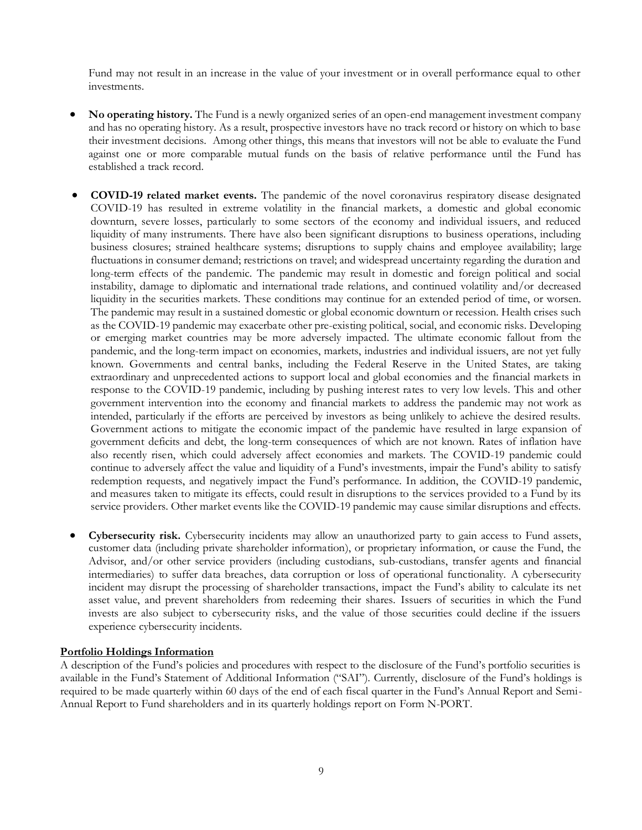Fund may not result in an increase in the value of your investment or in overall performance equal to other investments.

- **No operating history.** The Fund is a newly organized series of an open-end management investment company and has no operating history. As a result, prospective investors have no track record or history on which to base their investment decisions. Among other things, this means that investors will not be able to evaluate the Fund against one or more comparable mutual funds on the basis of relative performance until the Fund has established a track record.
- **COVID-19 related market events.** The pandemic of the novel coronavirus respiratory disease designated COVID-19 has resulted in extreme volatility in the financial markets, a domestic and global economic downturn, severe losses, particularly to some sectors of the economy and individual issuers, and reduced liquidity of many instruments. There have also been significant disruptions to business operations, including business closures; strained healthcare systems; disruptions to supply chains and employee availability; large fluctuations in consumer demand; restrictions on travel; and widespread uncertainty regarding the duration and long-term effects of the pandemic. The pandemic may result in domestic and foreign political and social instability, damage to diplomatic and international trade relations, and continued volatility and/or decreased liquidity in the securities markets. These conditions may continue for an extended period of time, or worsen. The pandemic may result in a sustained domestic or global economic downturn or recession. Health crises such as the COVID-19 pandemic may exacerbate other pre-existing political, social, and economic risks. Developing or emerging market countries may be more adversely impacted. The ultimate economic fallout from the pandemic, and the long-term impact on economies, markets, industries and individual issuers, are not yet fully known. Governments and central banks, including the Federal Reserve in the United States, are taking extraordinary and unprecedented actions to support local and global economies and the financial markets in response to the COVID-19 pandemic, including by pushing interest rates to very low levels. This and other government intervention into the economy and financial markets to address the pandemic may not work as intended, particularly if the efforts are perceived by investors as being unlikely to achieve the desired results. Government actions to mitigate the economic impact of the pandemic have resulted in large expansion of government deficits and debt, the long-term consequences of which are not known. Rates of inflation have also recently risen, which could adversely affect economies and markets. The COVID-19 pandemic could continue to adversely affect the value and liquidity of a Fund's investments, impair the Fund's ability to satisfy redemption requests, and negatively impact the Fund's performance. In addition, the COVID-19 pandemic, and measures taken to mitigate its effects, could result in disruptions to the services provided to a Fund by its service providers. Other market events like the COVID-19 pandemic may cause similar disruptions and effects.
- **Cybersecurity risk.** Cybersecurity incidents may allow an unauthorized party to gain access to Fund assets, customer data (including private shareholder information), or proprietary information, or cause the Fund, the Advisor, and/or other service providers (including custodians, sub-custodians, transfer agents and financial intermediaries) to suffer data breaches, data corruption or loss of operational functionality. A cybersecurity incident may disrupt the processing of shareholder transactions, impact the Fund's ability to calculate its net asset value, and prevent shareholders from redeeming their shares. Issuers of securities in which the Fund invests are also subject to cybersecurity risks, and the value of those securities could decline if the issuers experience cybersecurity incidents.

#### **Portfolio Holdings Information**

A description of the Fund's policies and procedures with respect to the disclosure of the Fund's portfolio securities is available in the Fund's Statement of Additional Information ("SAI"). Currently, disclosure of the Fund's holdings is required to be made quarterly within 60 days of the end of each fiscal quarter in the Fund's Annual Report and Semi-Annual Report to Fund shareholders and in its quarterly holdings report on Form N-PORT.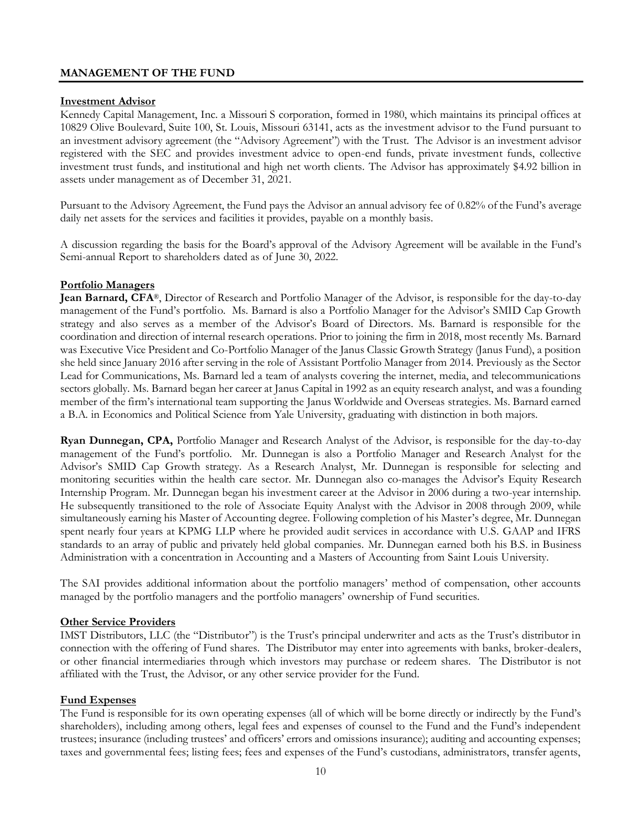# <span id="page-11-0"></span>**MANAGEMENT OF THE FUND**

# **Investment Advisor**

Kennedy Capital Management, Inc. a Missouri S corporation, formed in 1980, which maintains its principal offices at 10829 Olive Boulevard, Suite 100, St. Louis, Missouri 63141, acts as the investment advisor to the Fund pursuant to an investment advisory agreement (the "Advisory Agreement") with the Trust. The Advisor is an investment advisor registered with the SEC and provides investment advice to open-end funds, private investment funds, collective investment trust funds, and institutional and high net worth clients. The Advisor has approximately \$4.92 billion in assets under management as of December 31, 2021.

Pursuant to the Advisory Agreement, the Fund pays the Advisor an annual advisory fee of 0.82% of the Fund's average daily net assets for the services and facilities it provides, payable on a monthly basis.

A discussion regarding the basis for the Board's approval of the Advisory Agreement will be available in the Fund's Semi-annual Report to shareholders dated as of June 30, 2022.

#### **Portfolio Managers**

**Jean Barnard, CFA**®, Director of Research and Portfolio Manager of the Advisor, is responsible for the day-to-day management of the Fund's portfolio. Ms. Barnard is also a Portfolio Manager for the Advisor's SMID Cap Growth strategy and also serves as a member of the Advisor's Board of Directors. Ms. Barnard is responsible for the coordination and direction of internal research operations. Prior to joining the firm in 2018, most recently Ms. Barnard was Executive Vice President and Co-Portfolio Manager of the Janus Classic Growth Strategy (Janus Fund), a position she held since January 2016 after serving in the role of Assistant Portfolio Manager from 2014. Previously as the Sector Lead for Communications, Ms. Barnard led a team of analysts covering the internet, media, and telecommunications sectors globally. Ms. Barnard began her career at Janus Capital in 1992 as an equity research analyst, and was a founding member of the firm's international team supporting the Janus Worldwide and Overseas strategies. Ms. Barnard earned a B.A. in Economics and Political Science from Yale University, graduating with distinction in both majors.

**Ryan Dunnegan, CPA,** Portfolio Manager and Research Analyst of the Advisor, is responsible for the day-to-day management of the Fund's portfolio. Mr. Dunnegan is also a Portfolio Manager and Research Analyst for the Advisor's SMID Cap Growth strategy. As a Research Analyst, Mr. Dunnegan is responsible for selecting and monitoring securities within the health care sector. Mr. Dunnegan also co-manages the Advisor's Equity Research Internship Program. Mr. Dunnegan began his investment career at the Advisor in 2006 during a two-year internship. He subsequently transitioned to the role of Associate Equity Analyst with the Advisor in 2008 through 2009, while simultaneously earning his Master of Accounting degree. Following completion of his Master's degree, Mr. Dunnegan spent nearly four years at KPMG LLP where he provided audit services in accordance with U.S. GAAP and IFRS standards to an array of public and privately held global companies. Mr. Dunnegan earned both his B.S. in Business Administration with a concentration in Accounting and a Masters of Accounting from Saint Louis University.

The SAI provides additional information about the portfolio managers' method of compensation, other accounts managed by the portfolio managers and the portfolio managers' ownership of Fund securities.

# **Other Service Providers**

IMST Distributors, LLC (the "Distributor") is the Trust's principal underwriter and acts as the Trust's distributor in connection with the offering of Fund shares. The Distributor may enter into agreements with banks, broker-dealers, or other financial intermediaries through which investors may purchase or redeem shares. The Distributor is not affiliated with the Trust, the Advisor, or any other service provider for the Fund.

#### **Fund Expenses**

The Fund is responsible for its own operating expenses (all of which will be borne directly or indirectly by the Fund's shareholders), including among others, legal fees and expenses of counsel to the Fund and the Fund's independent trustees; insurance (including trustees' and officers' errors and omissions insurance); auditing and accounting expenses; taxes and governmental fees; listing fees; fees and expenses of the Fund's custodians, administrators, transfer agents,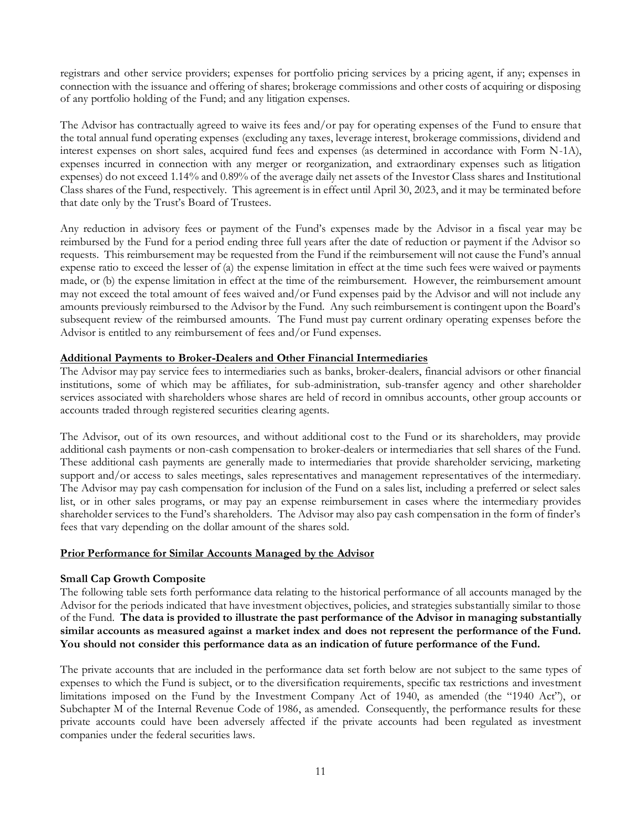registrars and other service providers; expenses for portfolio pricing services by a pricing agent, if any; expenses in connection with the issuance and offering of shares; brokerage commissions and other costs of acquiring or disposing of any portfolio holding of the Fund; and any litigation expenses.

The Advisor has contractually agreed to waive its fees and/or pay for operating expenses of the Fund to ensure that the total annual fund operating expenses (excluding any taxes, leverage interest, brokerage commissions, dividend and interest expenses on short sales, acquired fund fees and expenses (as determined in accordance with Form N-1A), expenses incurred in connection with any merger or reorganization, and extraordinary expenses such as litigation expenses) do not exceed 1.14% and 0.89% of the average daily net assets of the Investor Class shares and Institutional Class shares of the Fund, respectively. This agreement is in effect until April 30, 2023, and it may be terminated before that date only by the Trust's Board of Trustees.

Any reduction in advisory fees or payment of the Fund's expenses made by the Advisor in a fiscal year may be reimbursed by the Fund for a period ending three full years after the date of reduction or payment if the Advisor so requests. This reimbursement may be requested from the Fund if the reimbursement will not cause the Fund's annual expense ratio to exceed the lesser of (a) the expense limitation in effect at the time such fees were waived or payments made, or (b) the expense limitation in effect at the time of the reimbursement. However, the reimbursement amount may not exceed the total amount of fees waived and/or Fund expenses paid by the Advisor and will not include any amounts previously reimbursed to the Advisor by the Fund. Any such reimbursement is contingent upon the Board's subsequent review of the reimbursed amounts. The Fund must pay current ordinary operating expenses before the Advisor is entitled to any reimbursement of fees and/or Fund expenses.

# **Additional Payments to Broker-Dealers and Other Financial Intermediaries**

The Advisor may pay service fees to intermediaries such as banks, broker-dealers, financial advisors or other financial institutions, some of which may be affiliates, for sub-administration, sub-transfer agency and other shareholder services associated with shareholders whose shares are held of record in omnibus accounts, other group accounts or accounts traded through registered securities clearing agents.

The Advisor, out of its own resources, and without additional cost to the Fund or its shareholders, may provide additional cash payments or non-cash compensation to broker-dealers or intermediaries that sell shares of the Fund. These additional cash payments are generally made to intermediaries that provide shareholder servicing, marketing support and/or access to sales meetings, sales representatives and management representatives of the intermediary. The Advisor may pay cash compensation for inclusion of the Fund on a sales list, including a preferred or select sales list, or in other sales programs, or may pay an expense reimbursement in cases where the intermediary provides shareholder services to the Fund's shareholders. The Advisor may also pay cash compensation in the form of finder's fees that vary depending on the dollar amount of the shares sold.

#### **Prior Performance for Similar Accounts Managed by the Advisor**

# **Small Cap Growth Composite**

The following table sets forth performance data relating to the historical performance of all accounts managed by the Advisor for the periods indicated that have investment objectives, policies, and strategies substantially similar to those of the Fund. **The data is provided to illustrate the past performance of the Advisor in managing substantially similar accounts as measured against a market index and does not represent the performance of the Fund. You should not consider this performance data as an indication of future performance of the Fund.**

The private accounts that are included in the performance data set forth below are not subject to the same types of expenses to which the Fund is subject, or to the diversification requirements, specific tax restrictions and investment limitations imposed on the Fund by the Investment Company Act of 1940, as amended (the "1940 Act"), or Subchapter M of the Internal Revenue Code of 1986, as amended. Consequently, the performance results for these private accounts could have been adversely affected if the private accounts had been regulated as investment companies under the federal securities laws.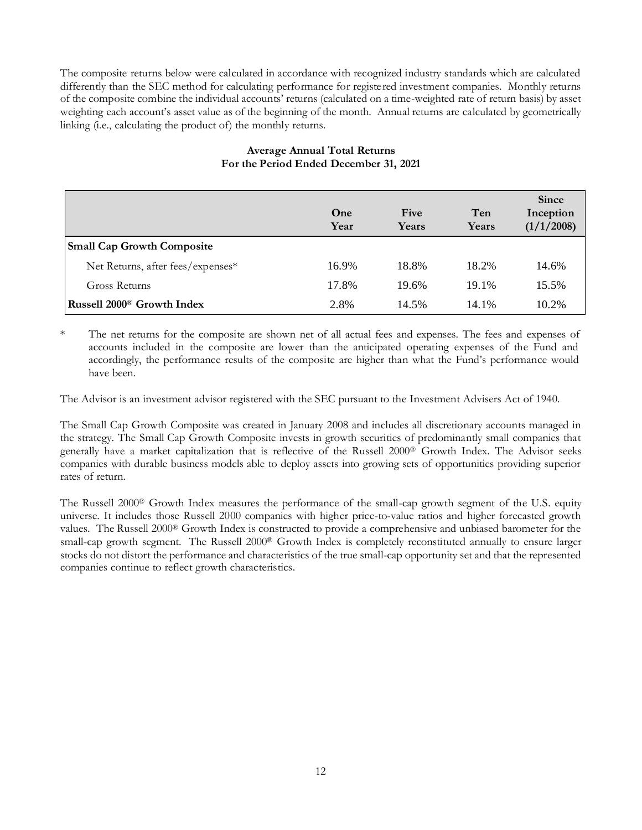The composite returns below were calculated in accordance with recognized industry standards which are calculated differently than the SEC method for calculating performance for registered investment companies. Monthly returns of the composite combine the individual accounts' returns (calculated on a time-weighted rate of return basis) by asset weighting each account's asset value as of the beginning of the month. Annual returns are calculated by geometrically linking (i.e., calculating the product of) the monthly returns.

|                                        | One<br>Year | Five<br>Years | Ten<br>Years | <b>Since</b><br>Inception<br>(1/1/2008) |
|----------------------------------------|-------------|---------------|--------------|-----------------------------------------|
| <b>Small Cap Growth Composite</b>      |             |               |              |                                         |
| Net Returns, after fees/expenses*      | 16.9%       | 18.8%         | 18.2%        | 14.6%                                   |
| Gross Returns                          | 17.8%       | 19.6%         | 19.1%        | 15.5%                                   |
| Russell 2000 <sup>®</sup> Growth Index | 2.8%        | 14.5%         | 14.1%        | 10.2%                                   |

# **Average Annual Total Returns For the Period Ended December 31, 2021**

The net returns for the composite are shown net of all actual fees and expenses. The fees and expenses of accounts included in the composite are lower than the anticipated operating expenses of the Fund and accordingly, the performance results of the composite are higher than what the Fund's performance would have been.

The Advisor is an investment advisor registered with the SEC pursuant to the Investment Advisers Act of 1940.

The Small Cap Growth Composite was created in January 2008 and includes all discretionary accounts managed in the strategy. The Small Cap Growth Composite invests in growth securities of predominantly small companies that generally have a market capitalization that is reflective of the Russell 2000® Growth Index. The Advisor seeks companies with durable business models able to deploy assets into growing sets of opportunities providing superior rates of return.

The Russell 2000® Growth Index measures the performance of the small-cap growth segment of the U.S. equity universe. It includes those Russell 2000 companies with higher price-to-value ratios and higher forecasted growth values. The Russell 2000® Growth Index is constructed to provide a comprehensive and unbiased barometer for the small-cap growth segment. The Russell 2000® Growth Index is completely reconstituted annually to ensure larger stocks do not distort the performance and characteristics of the true small-cap opportunity set and that the represented companies continue to reflect growth characteristics.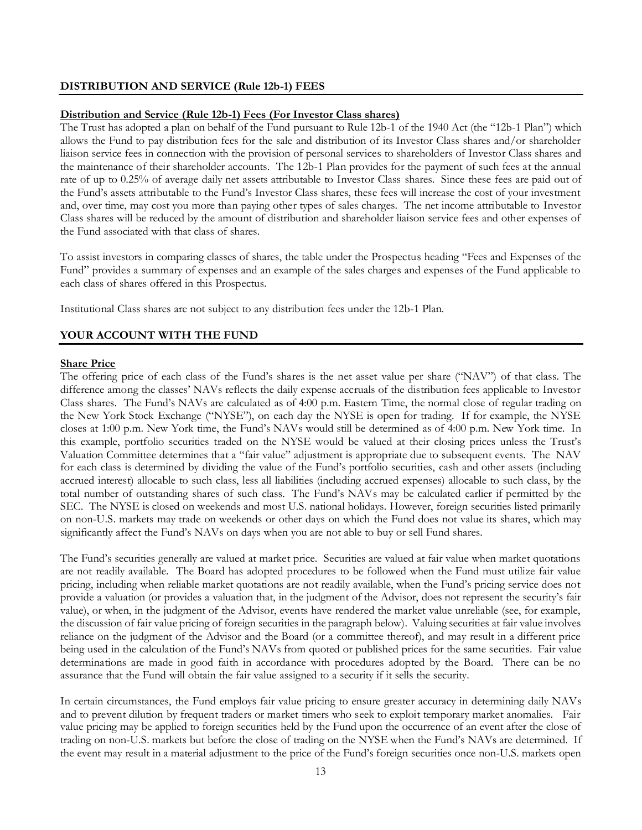# <span id="page-14-0"></span>**DISTRIBUTION AND SERVICE (Rule 12b-1) FEES**

#### **Distribution and Service (Rule 12b-1) Fees (For Investor Class shares)**

The Trust has adopted a plan on behalf of the Fund pursuant to Rule 12b-1 of the 1940 Act (the "12b-1 Plan") which allows the Fund to pay distribution fees for the sale and distribution of its Investor Class shares and/or shareholder liaison service fees in connection with the provision of personal services to shareholders of Investor Class shares and the maintenance of their shareholder accounts. The 12b-1 Plan provides for the payment of such fees at the annual rate of up to 0.25% of average daily net assets attributable to Investor Class shares. Since these fees are paid out of the Fund's assets attributable to the Fund's Investor Class shares, these fees will increase the cost of your investment and, over time, may cost you more than paying other types of sales charges. The net income attributable to Investor Class shares will be reduced by the amount of distribution and shareholder liaison service fees and other expenses of the Fund associated with that class of shares.

To assist investors in comparing classes of shares, the table under the Prospectus heading "Fees and Expenses of the Fund" provides a summary of expenses and an example of the sales charges and expenses of the Fund applicable to each class of shares offered in this Prospectus.

Institutional Class shares are not subject to any distribution fees under the 12b-1 Plan.

# <span id="page-14-1"></span>**YOUR ACCOUNT WITH THE FUND**

# **Share Price**

The offering price of each class of the Fund's shares is the net asset value per share ("NAV") of that class. The difference among the classes' NAVs reflects the daily expense accruals of the distribution fees applicable to Investor Class shares. The Fund's NAVs are calculated as of 4:00 p.m. Eastern Time, the normal close of regular trading on the New York Stock Exchange ("NYSE"), on each day the NYSE is open for trading. If for example, the NYSE closes at 1:00 p.m. New York time, the Fund's NAVs would still be determined as of 4:00 p.m. New York time. In this example, portfolio securities traded on the NYSE would be valued at their closing prices unless the Trust's Valuation Committee determines that a "fair value" adjustment is appropriate due to subsequent events. The NAV for each class is determined by dividing the value of the Fund's portfolio securities, cash and other assets (including accrued interest) allocable to such class, less all liabilities (including accrued expenses) allocable to such class, by the total number of outstanding shares of such class. The Fund's NAVs may be calculated earlier if permitted by the SEC. The NYSE is closed on weekends and most U.S. national holidays. However, foreign securities listed primarily on non-U.S. markets may trade on weekends or other days on which the Fund does not value its shares, which may significantly affect the Fund's NAVs on days when you are not able to buy or sell Fund shares.

The Fund's securities generally are valued at market price. Securities are valued at fair value when market quotations are not readily available. The Board has adopted procedures to be followed when the Fund must utilize fair value pricing, including when reliable market quotations are not readily available, when the Fund's pricing service does not provide a valuation (or provides a valuation that, in the judgment of the Advisor, does not represent the security's fair value), or when, in the judgment of the Advisor, events have rendered the market value unreliable (see, for example, the discussion of fair value pricing of foreign securities in the paragraph below). Valuing securities at fair value involves reliance on the judgment of the Advisor and the Board (or a committee thereof), and may result in a different price being used in the calculation of the Fund's NAVs from quoted or published prices for the same securities. Fair value determinations are made in good faith in accordance with procedures adopted by the Board. There can be no assurance that the Fund will obtain the fair value assigned to a security if it sells the security.

In certain circumstances, the Fund employs fair value pricing to ensure greater accuracy in determining daily NAVs and to prevent dilution by frequent traders or market timers who seek to exploit temporary market anomalies. Fair value pricing may be applied to foreign securities held by the Fund upon the occurrence of an event after the close of trading on non-U.S. markets but before the close of trading on the NYSE when the Fund's NAVs are determined. If the event may result in a material adjustment to the price of the Fund's foreign securities once non-U.S. markets open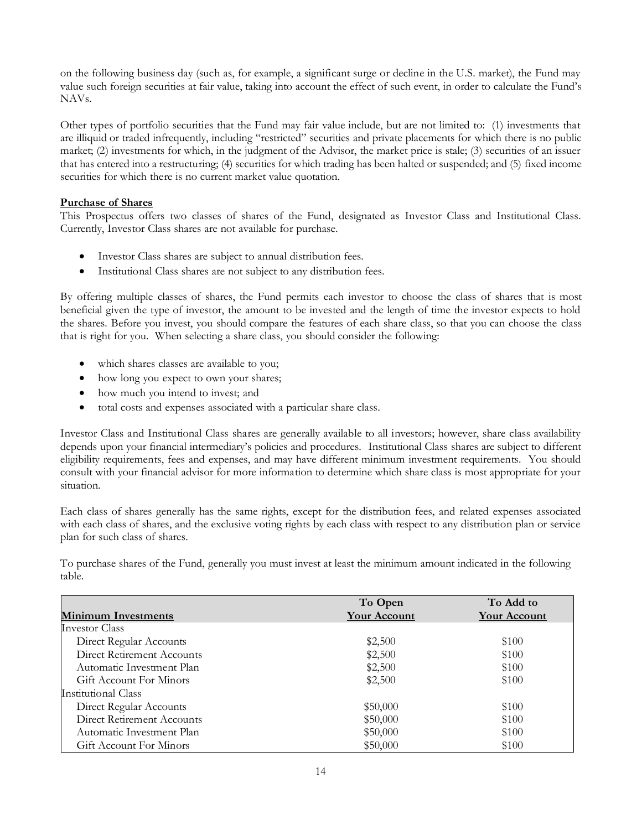on the following business day (such as, for example, a significant surge or decline in the U.S. market), the Fund may value such foreign securities at fair value, taking into account the effect of such event, in order to calculate the Fund's NAVs.

Other types of portfolio securities that the Fund may fair value include, but are not limited to: (1) investments that are illiquid or traded infrequently, including "restricted" securities and private placements for which there is no public market; (2) investments for which, in the judgment of the Advisor, the market price is stale; (3) securities of an issuer that has entered into a restructuring; (4) securities for which trading has been halted or suspended; and (5) fixed income securities for which there is no current market value quotation.

# **Purchase of Shares**

This Prospectus offers two classes of shares of the Fund, designated as Investor Class and Institutional Class. Currently, Investor Class shares are not available for purchase.

- Investor Class shares are subject to annual distribution fees.
- Institutional Class shares are not subject to any distribution fees.

By offering multiple classes of shares, the Fund permits each investor to choose the class of shares that is most beneficial given the type of investor, the amount to be invested and the length of time the investor expects to hold the shares. Before you invest, you should compare the features of each share class, so that you can choose the class that is right for you. When selecting a share class, you should consider the following:

- which shares classes are available to you;
- how long you expect to own your shares;
- how much you intend to invest; and
- total costs and expenses associated with a particular share class.

Investor Class and Institutional Class shares are generally available to all investors; however, share class availability depends upon your financial intermediary's policies and procedures. Institutional Class shares are subject to different eligibility requirements, fees and expenses, and may have different minimum investment requirements. You should consult with your financial advisor for more information to determine which share class is most appropriate for your situation.

Each class of shares generally has the same rights, except for the distribution fees, and related expenses associated with each class of shares, and the exclusive voting rights by each class with respect to any distribution plan or service plan for such class of shares.

To purchase shares of the Fund, generally you must invest at least the minimum amount indicated in the following table.

|                            | To Open             | To Add to           |
|----------------------------|---------------------|---------------------|
| <b>Minimum Investments</b> | <b>Your Account</b> | <b>Your Account</b> |
| Investor Class             |                     |                     |
| Direct Regular Accounts    | \$2,500             | \$100               |
| Direct Retirement Accounts | \$2,500             | \$100               |
| Automatic Investment Plan  | \$2,500             | \$100               |
| Gift Account For Minors    | \$2,500             | \$100               |
| Institutional Class        |                     |                     |
| Direct Regular Accounts    | \$50,000            | \$100               |
| Direct Retirement Accounts | \$50,000            | \$100               |
| Automatic Investment Plan  | \$50,000            | \$100               |
| Gift Account For Minors    | \$50,000            | \$100               |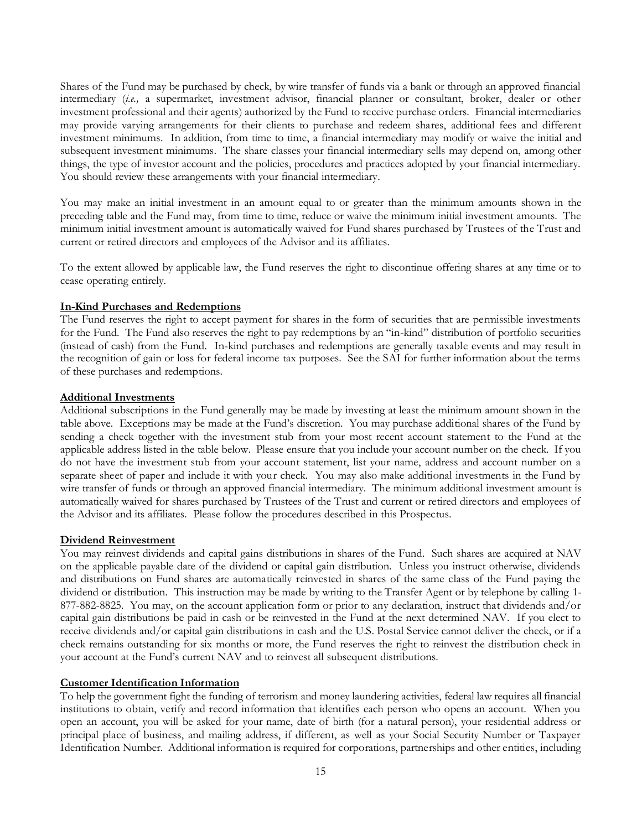Shares of the Fund may be purchased by check, by wire transfer of funds via a bank or through an approved financial intermediary (*i.e.,* a supermarket, investment advisor, financial planner or consultant, broker, dealer or other investment professional and their agents) authorized by the Fund to receive purchase orders. Financial intermediaries may provide varying arrangements for their clients to purchase and redeem shares, additional fees and different investment minimums. In addition, from time to time, a financial intermediary may modify or waive the initial and subsequent investment minimums. The share classes your financial intermediary sells may depend on, among other things, the type of investor account and the policies, procedures and practices adopted by your financial intermediary. You should review these arrangements with your financial intermediary.

You may make an initial investment in an amount equal to or greater than the minimum amounts shown in the preceding table and the Fund may, from time to time, reduce or waive the minimum initial investment amounts. The minimum initial investment amount is automatically waived for Fund shares purchased by Trustees of the Trust and current or retired directors and employees of the Advisor and its affiliates.

To the extent allowed by applicable law, the Fund reserves the right to discontinue offering shares at any time or to cease operating entirely.

# **In-Kind Purchases and Redemptions**

The Fund reserves the right to accept payment for shares in the form of securities that are permissible investments for the Fund. The Fund also reserves the right to pay redemptions by an "in-kind" distribution of portfolio securities (instead of cash) from the Fund. In-kind purchases and redemptions are generally taxable events and may result in the recognition of gain or loss for federal income tax purposes. See the SAI for further information about the terms of these purchases and redemptions.

#### **Additional Investments**

Additional subscriptions in the Fund generally may be made by investing at least the minimum amount shown in the table above. Exceptions may be made at the Fund's discretion. You may purchase additional shares of the Fund by sending a check together with the investment stub from your most recent account statement to the Fund at the applicable address listed in the table below. Please ensure that you include your account number on the check. If you do not have the investment stub from your account statement, list your name, address and account number on a separate sheet of paper and include it with your check. You may also make additional investments in the Fund by wire transfer of funds or through an approved financial intermediary. The minimum additional investment amount is automatically waived for shares purchased by Trustees of the Trust and current or retired directors and employees of the Advisor and its affiliates. Please follow the procedures described in this Prospectus.

#### **Dividend Reinvestment**

You may reinvest dividends and capital gains distributions in shares of the Fund. Such shares are acquired at NAV on the applicable payable date of the dividend or capital gain distribution. Unless you instruct otherwise, dividends and distributions on Fund shares are automatically reinvested in shares of the same class of the Fund paying the dividend or distribution. This instruction may be made by writing to the Transfer Agent or by telephone by calling 1- 877-882-8825. You may, on the account application form or prior to any declaration, instruct that dividends and/or capital gain distributions be paid in cash or be reinvested in the Fund at the next determined NAV. If you elect to receive dividends and/or capital gain distributions in cash and the U.S. Postal Service cannot deliver the check, or if a check remains outstanding for six months or more, the Fund reserves the right to reinvest the distribution check in your account at the Fund's current NAV and to reinvest all subsequent distributions.

# **Customer Identification Information**

To help the government fight the funding of terrorism and money laundering activities, federal law requires all financial institutions to obtain, verify and record information that identifies each person who opens an account. When you open an account, you will be asked for your name, date of birth (for a natural person), your residential address or principal place of business, and mailing address, if different, as well as your Social Security Number or Taxpayer Identification Number. Additional information is required for corporations, partnerships and other entities, including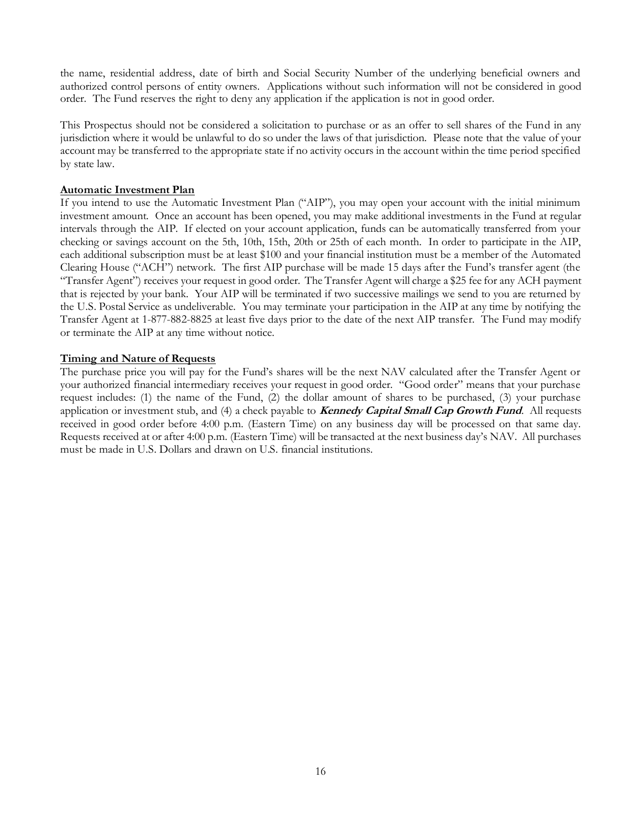the name, residential address, date of birth and Social Security Number of the underlying beneficial owners and authorized control persons of entity owners. Applications without such information will not be considered in good order. The Fund reserves the right to deny any application if the application is not in good order.

This Prospectus should not be considered a solicitation to purchase or as an offer to sell shares of the Fund in any jurisdiction where it would be unlawful to do so under the laws of that jurisdiction. Please note that the value of your account may be transferred to the appropriate state if no activity occurs in the account within the time period specified by state law.

# **Automatic Investment Plan**

If you intend to use the Automatic Investment Plan ("AIP"), you may open your account with the initial minimum investment amount. Once an account has been opened, you may make additional investments in the Fund at regular intervals through the AIP. If elected on your account application, funds can be automatically transferred from your checking or savings account on the 5th, 10th, 15th, 20th or 25th of each month. In order to participate in the AIP, each additional subscription must be at least \$100 and your financial institution must be a member of the Automated Clearing House ("ACH") network. The first AIP purchase will be made 15 days after the Fund's transfer agent (the "Transfer Agent") receives your request in good order. The Transfer Agent will charge a \$25 fee for any ACH payment that is rejected by your bank. Your AIP will be terminated if two successive mailings we send to you are returned by the U.S. Postal Service as undeliverable. You may terminate your participation in the AIP at any time by notifying the Transfer Agent at 1-877-882-8825 at least five days prior to the date of the next AIP transfer. The Fund may modify or terminate the AIP at any time without notice.

# **Timing and Nature of Requests**

The purchase price you will pay for the Fund's shares will be the next NAV calculated after the Transfer Agent or your authorized financial intermediary receives your request in good order. "Good order" means that your purchase request includes: (1) the name of the Fund, (2) the dollar amount of shares to be purchased, (3) your purchase application or investment stub, and (4) a check payable to **Kennedy Capital Small Cap Growth Fund**. All requests received in good order before 4:00 p.m. (Eastern Time) on any business day will be processed on that same day. Requests received at or after 4:00 p.m. (Eastern Time) will be transacted at the next business day's NAV. All purchases must be made in U.S. Dollars and drawn on U.S. financial institutions.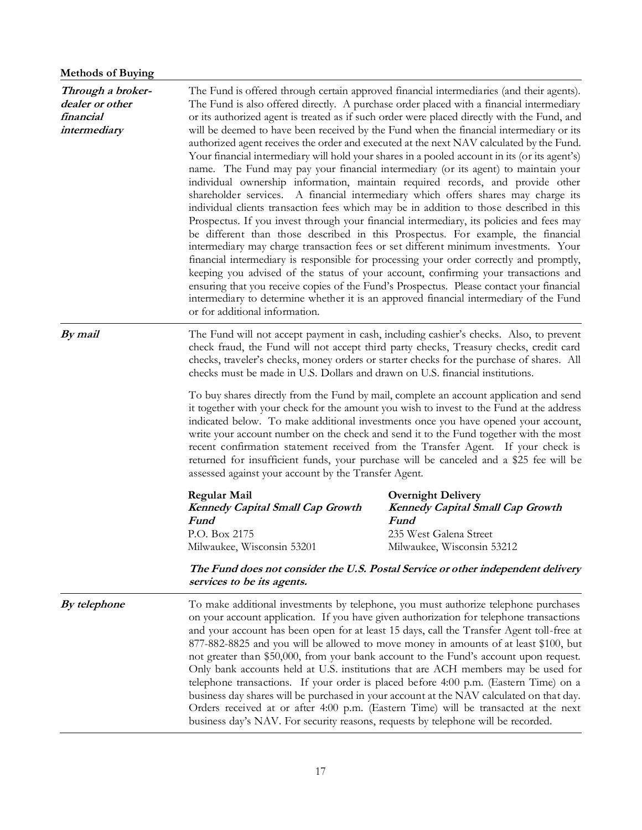# **Methods of Buying**

| Through a broker-<br>dealer or other<br>financial<br>intermediary | or for additional information.                                                                                                                                                                                                                                                                                                                                                                                                                                                                                                                                                                                                                                                                                                                                                                                                                                                                                                                                            | The Fund is offered through certain approved financial intermediaries (and their agents).<br>The Fund is also offered directly. A purchase order placed with a financial intermediary<br>or its authorized agent is treated as if such order were placed directly with the Fund, and<br>will be deemed to have been received by the Fund when the financial intermediary or its<br>authorized agent receives the order and executed at the next NAV calculated by the Fund.<br>Your financial intermediary will hold your shares in a pooled account in its (or its agent's)<br>name. The Fund may pay your financial intermediary (or its agent) to maintain your<br>individual ownership information, maintain required records, and provide other<br>shareholder services. A financial intermediary which offers shares may charge its<br>individual clients transaction fees which may be in addition to those described in this<br>Prospectus. If you invest through your financial intermediary, its policies and fees may<br>be different than those described in this Prospectus. For example, the financial<br>intermediary may charge transaction fees or set different minimum investments. Your<br>financial intermediary is responsible for processing your order correctly and promptly,<br>keeping you advised of the status of your account, confirming your transactions and<br>ensuring that you receive copies of the Fund's Prospectus. Please contact your financial<br>intermediary to determine whether it is an approved financial intermediary of the Fund |  |
|-------------------------------------------------------------------|---------------------------------------------------------------------------------------------------------------------------------------------------------------------------------------------------------------------------------------------------------------------------------------------------------------------------------------------------------------------------------------------------------------------------------------------------------------------------------------------------------------------------------------------------------------------------------------------------------------------------------------------------------------------------------------------------------------------------------------------------------------------------------------------------------------------------------------------------------------------------------------------------------------------------------------------------------------------------|-------------------------------------------------------------------------------------------------------------------------------------------------------------------------------------------------------------------------------------------------------------------------------------------------------------------------------------------------------------------------------------------------------------------------------------------------------------------------------------------------------------------------------------------------------------------------------------------------------------------------------------------------------------------------------------------------------------------------------------------------------------------------------------------------------------------------------------------------------------------------------------------------------------------------------------------------------------------------------------------------------------------------------------------------------------------------------------------------------------------------------------------------------------------------------------------------------------------------------------------------------------------------------------------------------------------------------------------------------------------------------------------------------------------------------------------------------------------------------------------------------------------------------------------------------------------------------------|--|
| By mail                                                           | The Fund will not accept payment in cash, including cashier's checks. Also, to prevent<br>check fraud, the Fund will not accept third party checks, Treasury checks, credit card<br>checks, traveler's checks, money orders or starter checks for the purchase of shares. All<br>checks must be made in U.S. Dollars and drawn on U.S. financial institutions.<br>To buy shares directly from the Fund by mail, complete an account application and send<br>it together with your check for the amount you wish to invest to the Fund at the address<br>indicated below. To make additional investments once you have opened your account,<br>write your account number on the check and send it to the Fund together with the most<br>recent confirmation statement received from the Transfer Agent. If your check is<br>returned for insufficient funds, your purchase will be canceled and a \$25 fee will be<br>assessed against your account by the Transfer Agent. |                                                                                                                                                                                                                                                                                                                                                                                                                                                                                                                                                                                                                                                                                                                                                                                                                                                                                                                                                                                                                                                                                                                                                                                                                                                                                                                                                                                                                                                                                                                                                                                     |  |
|                                                                   |                                                                                                                                                                                                                                                                                                                                                                                                                                                                                                                                                                                                                                                                                                                                                                                                                                                                                                                                                                           |                                                                                                                                                                                                                                                                                                                                                                                                                                                                                                                                                                                                                                                                                                                                                                                                                                                                                                                                                                                                                                                                                                                                                                                                                                                                                                                                                                                                                                                                                                                                                                                     |  |
|                                                                   | Regular Mail<br>Kennedy Capital Small Cap Growth<br>Fund<br>P.O. Box 2175<br>Milwaukee, Wisconsin 53201                                                                                                                                                                                                                                                                                                                                                                                                                                                                                                                                                                                                                                                                                                                                                                                                                                                                   | <b>Overnight Delivery</b><br>Kennedy Capital Small Cap Growth<br>Fund<br>235 West Galena Street<br>Milwaukee, Wisconsin 53212                                                                                                                                                                                                                                                                                                                                                                                                                                                                                                                                                                                                                                                                                                                                                                                                                                                                                                                                                                                                                                                                                                                                                                                                                                                                                                                                                                                                                                                       |  |
|                                                                   | services to be its agents.                                                                                                                                                                                                                                                                                                                                                                                                                                                                                                                                                                                                                                                                                                                                                                                                                                                                                                                                                | The Fund does not consider the U.S. Postal Service or other independent delivery                                                                                                                                                                                                                                                                                                                                                                                                                                                                                                                                                                                                                                                                                                                                                                                                                                                                                                                                                                                                                                                                                                                                                                                                                                                                                                                                                                                                                                                                                                    |  |
| By telephone                                                      | business day's NAV. For security reasons, requests by telephone will be recorded.                                                                                                                                                                                                                                                                                                                                                                                                                                                                                                                                                                                                                                                                                                                                                                                                                                                                                         | To make additional investments by telephone, you must authorize telephone purchases<br>on your account application. If you have given authorization for telephone transactions<br>and your account has been open for at least 15 days, call the Transfer Agent toll-free at<br>877-882-8825 and you will be allowed to move money in amounts of at least \$100, but<br>not greater than \$50,000, from your bank account to the Fund's account upon request.<br>Only bank accounts held at U.S. institutions that are ACH members may be used for<br>telephone transactions. If your order is placed before 4:00 p.m. (Eastern Time) on a<br>business day shares will be purchased in your account at the NAV calculated on that day.<br>Orders received at or after 4:00 p.m. (Eastern Time) will be transacted at the next                                                                                                                                                                                                                                                                                                                                                                                                                                                                                                                                                                                                                                                                                                                                                        |  |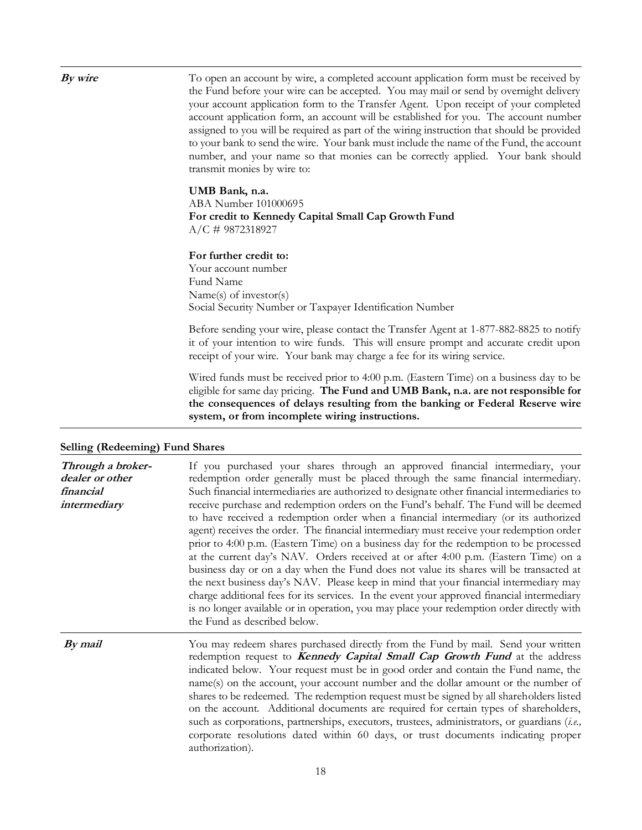**By wire** To open an account by wire, a completed account application form must be received by the Fund before your wire can be accepted. You may mail or send by overnight delivery your account application form to the Transfer Agent. Upon receipt of your completed account application form, an account will be established for you. The account number assigned to you will be required as part of the wiring instruction that should be provided to your bank to send the wire. Your bank must include the name of the Fund, the account number, and your name so that monies can be correctly applied. Your bank should transmit monies by wire to:

# **UMB Bank, n.a.**

ABA Number 101000695 **For credit to Kennedy Capital Small Cap Growth Fund** A/C # 9872318927

#### **For further credit to:**

Your account number Fund Name Name(s) of investor(s) Social Security Number or Taxpayer Identification Number

Before sending your wire, please contact the Transfer Agent at 1-877-882-8825 to notify it of your intention to wire funds. This will ensure prompt and accurate credit upon receipt of your wire. Your bank may charge a fee for its wiring service.

Wired funds must be received prior to 4:00 p.m. (Eastern Time) on a business day to be eligible for same day pricing. **The Fund and UMB Bank, n.a. are not responsible for the consequences of delays resulting from the banking or Federal Reserve wire system, or from incomplete wiring instructions.**

| Through a broker-<br>dealer or other<br>financial<br>intermediary | If you purchased your shares through an approved financial intermediary, your<br>redemption order generally must be placed through the same financial intermediary.<br>Such financial intermediaries are authorized to designate other financial intermediaries to<br>receive purchase and redemption orders on the Fund's behalf. The Fund will be deemed<br>to have received a redemption order when a financial intermediary (or its authorized<br>agent) receives the order. The financial intermediary must receive your redemption order<br>prior to 4:00 p.m. (Eastern Time) on a business day for the redemption to be processed<br>at the current day's NAV. Orders received at or after 4:00 p.m. (Eastern Time) on a<br>business day or on a day when the Fund does not value its shares will be transacted at<br>the next business day's NAV. Please keep in mind that your financial intermediary may<br>charge additional fees for its services. In the event your approved financial intermediary<br>is no longer available or in operation, you may place your redemption order directly with<br>the Fund as described below. |
|-------------------------------------------------------------------|-----------------------------------------------------------------------------------------------------------------------------------------------------------------------------------------------------------------------------------------------------------------------------------------------------------------------------------------------------------------------------------------------------------------------------------------------------------------------------------------------------------------------------------------------------------------------------------------------------------------------------------------------------------------------------------------------------------------------------------------------------------------------------------------------------------------------------------------------------------------------------------------------------------------------------------------------------------------------------------------------------------------------------------------------------------------------------------------------------------------------------------------------|
| By mail                                                           | You may redeem shares purchased directly from the Fund by mail. Send your written<br>redemption request to <b>Kennedy Capital Small Cap Growth Fund</b> at the address<br>indicated below. Your request must be in good order and contain the Fund name, the<br>name(s) on the account, your account number and the dollar amount or the number of<br>shares to be redeemed. The redemption request must be signed by all shareholders listed<br>on the account. Additional documents are required for certain types of shareholders,<br>such as corporations, partnerships, executors, trustees, administrators, or guardians (i.e.,<br>corporate resolutions dated within 60 days, or trust documents indicating proper<br>authorization).                                                                                                                                                                                                                                                                                                                                                                                                  |

#### **Selling (Redeeming) Fund Shares**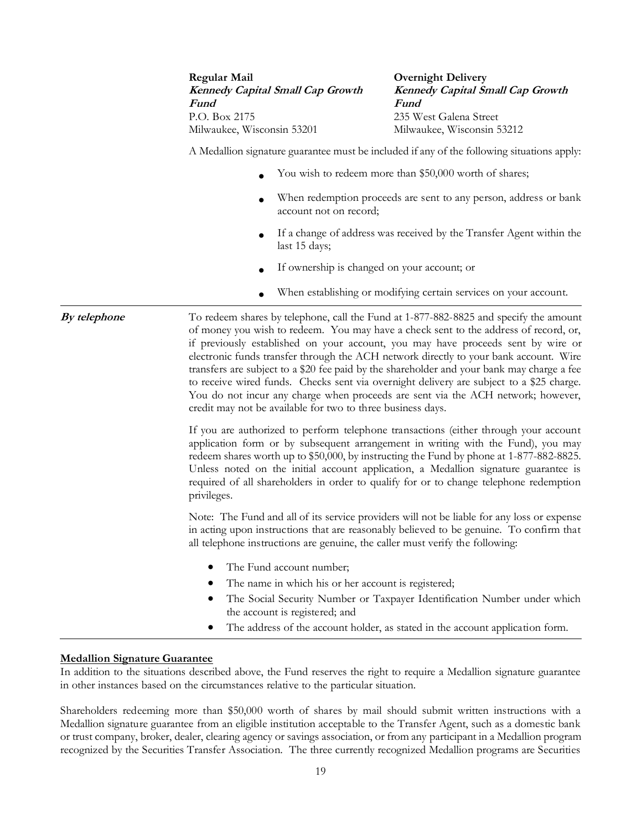**Regular Mail Kennedy Capital Small Cap Growth Fund** P.O. Box 2175 Milwaukee, Wisconsin 53201

**Overnight Delivery Kennedy Capital Small Cap Growth Fund** 235 West Galena Street Milwaukee, Wisconsin 53212

A Medallion signature guarantee must be included if any of the following situations apply:

- You wish to redeem more than \$50,000 worth of shares;
- When redemption proceeds are sent to any person, address or bank account not on record;
- If a change of address was received by the Transfer Agent within the last 15 days;
- If ownership is changed on your account; or
- When establishing or modifying certain services on your account.

**By telephone** To redeem shares by telephone, call the Fund at 1-877-882-8825 and specify the amount of money you wish to redeem. You may have a check sent to the address of record, or, if previously established on your account, you may have proceeds sent by wire or electronic funds transfer through the ACH network directly to your bank account. Wire transfers are subject to a \$20 fee paid by the shareholder and your bank may charge a fee to receive wired funds. Checks sent via overnight delivery are subject to a \$25 charge. You do not incur any charge when proceeds are sent via the ACH network; however, credit may not be available for two to three business days.

> If you are authorized to perform telephone transactions (either through your account application form or by subsequent arrangement in writing with the Fund), you may redeem shares worth up to \$50,000, by instructing the Fund by phone at 1-877-882-8825. Unless noted on the initial account application, a Medallion signature guarantee is required of all shareholders in order to qualify for or to change telephone redemption privileges.

> Note: The Fund and all of its service providers will not be liable for any loss or expense in acting upon instructions that are reasonably believed to be genuine. To confirm that all telephone instructions are genuine, the caller must verify the following:

- The Fund account number;
- The name in which his or her account is registered;
- The Social Security Number or Taxpayer Identification Number under which the account is registered; and
- The address of the account holder, as stated in the account application form.

# **Medallion Signature Guarantee**

In addition to the situations described above, the Fund reserves the right to require a Medallion signature guarantee in other instances based on the circumstances relative to the particular situation.

Shareholders redeeming more than \$50,000 worth of shares by mail should submit written instructions with a Medallion signature guarantee from an eligible institution acceptable to the Transfer Agent, such as a domestic bank or trust company, broker, dealer, clearing agency or savings association, or from any participant in a Medallion program recognized by the Securities Transfer Association. The three currently recognized Medallion programs are Securities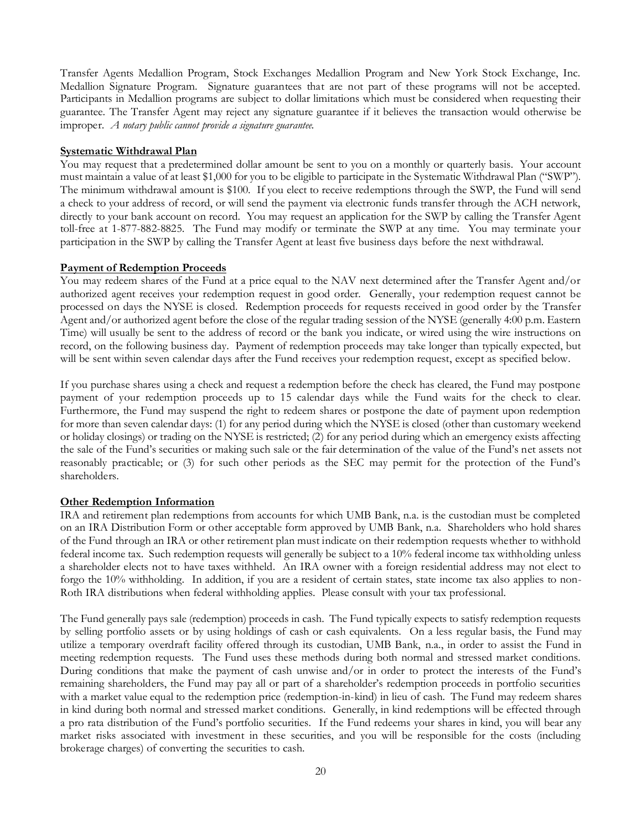Transfer Agents Medallion Program, Stock Exchanges Medallion Program and New York Stock Exchange, Inc. Medallion Signature Program. Signature guarantees that are not part of these programs will not be accepted. Participants in Medallion programs are subject to dollar limitations which must be considered when requesting their guarantee. The Transfer Agent may reject any signature guarantee if it believes the transaction would otherwise be improper. *A notary public cannot provide a signature guarantee.*

# **Systematic Withdrawal Plan**

You may request that a predetermined dollar amount be sent to you on a monthly or quarterly basis. Your account must maintain a value of at least \$1,000 for you to be eligible to participate in the Systematic Withdrawal Plan ("SWP"). The minimum withdrawal amount is \$100. If you elect to receive redemptions through the SWP, the Fund will send a check to your address of record, or will send the payment via electronic funds transfer through the ACH network, directly to your bank account on record. You may request an application for the SWP by calling the Transfer Agent toll-free at 1-877-882-8825. The Fund may modify or terminate the SWP at any time. You may terminate your participation in the SWP by calling the Transfer Agent at least five business days before the next withdrawal.

# **Payment of Redemption Proceeds**

You may redeem shares of the Fund at a price equal to the NAV next determined after the Transfer Agent and/or authorized agent receives your redemption request in good order. Generally, your redemption request cannot be processed on days the NYSE is closed. Redemption proceeds for requests received in good order by the Transfer Agent and/or authorized agent before the close of the regular trading session of the NYSE (generally 4:00 p.m. Eastern Time) will usually be sent to the address of record or the bank you indicate, or wired using the wire instructions on record, on the following business day. Payment of redemption proceeds may take longer than typically expected, but will be sent within seven calendar days after the Fund receives your redemption request, except as specified below.

If you purchase shares using a check and request a redemption before the check has cleared, the Fund may postpone payment of your redemption proceeds up to 15 calendar days while the Fund waits for the check to clear. Furthermore, the Fund may suspend the right to redeem shares or postpone the date of payment upon redemption for more than seven calendar days: (1) for any period during which the NYSE is closed (other than customary weekend or holiday closings) or trading on the NYSE is restricted; (2) for any period during which an emergency exists affecting the sale of the Fund's securities or making such sale or the fair determination of the value of the Fund's net assets not reasonably practicable; or (3) for such other periods as the SEC may permit for the protection of the Fund's shareholders.

# **Other Redemption Information**

IRA and retirement plan redemptions from accounts for which UMB Bank, n.a. is the custodian must be completed on an IRA Distribution Form or other acceptable form approved by UMB Bank, n.a. Shareholders who hold shares of the Fund through an IRA or other retirement plan must indicate on their redemption requests whether to withhold federal income tax. Such redemption requests will generally be subject to a 10% federal income tax withholding unless a shareholder elects not to have taxes withheld. An IRA owner with a foreign residential address may not elect to forgo the 10% withholding. In addition, if you are a resident of certain states, state income tax also applies to non-Roth IRA distributions when federal withholding applies. Please consult with your tax professional.

The Fund generally pays sale (redemption) proceeds in cash. The Fund typically expects to satisfy redemption requests by selling portfolio assets or by using holdings of cash or cash equivalents. On a less regular basis, the Fund may utilize a temporary overdraft facility offered through its custodian, UMB Bank, n.a., in order to assist the Fund in meeting redemption requests. The Fund uses these methods during both normal and stressed market conditions. During conditions that make the payment of cash unwise and/or in order to protect the interests of the Fund's remaining shareholders, the Fund may pay all or part of a shareholder's redemption proceeds in portfolio securities with a market value equal to the redemption price (redemption-in-kind) in lieu of cash. The Fund may redeem shares in kind during both normal and stressed market conditions. Generally, in kind redemptions will be effected through a pro rata distribution of the Fund's portfolio securities. If the Fund redeems your shares in kind, you will bear any market risks associated with investment in these securities, and you will be responsible for the costs (including brokerage charges) of converting the securities to cash.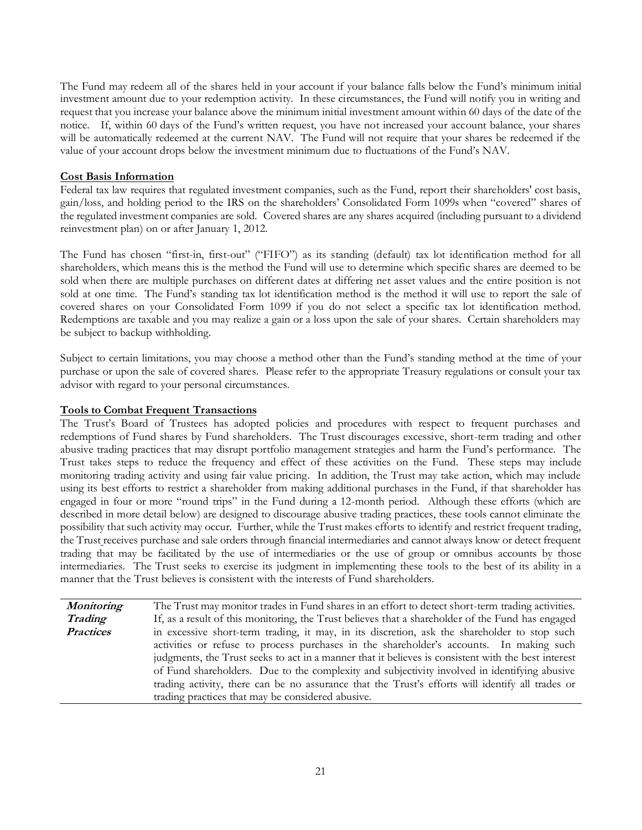The Fund may redeem all of the shares held in your account if your balance falls below the Fund's minimum initial investment amount due to your redemption activity. In these circumstances, the Fund will notify you in writing and request that you increase your balance above the minimum initial investment amount within 60 days of the date of the notice. If, within 60 days of the Fund's written request, you have not increased your account balance, your shares will be automatically redeemed at the current NAV. The Fund will not require that your shares be redeemed if the value of your account drops below the investment minimum due to fluctuations of the Fund's NAV.

# **Cost Basis Information**

Federal tax law requires that regulated investment companies, such as the Fund, report their shareholders' cost basis, gain/loss, and holding period to the IRS on the shareholders' Consolidated Form 1099s when "covered" shares of the regulated investment companies are sold. Covered shares are any shares acquired (including pursuant to a dividend reinvestment plan) on or after January 1, 2012.

The Fund has chosen "first-in, first-out" ("FIFO") as its standing (default) tax lot identification method for all shareholders, which means this is the method the Fund will use to determine which specific shares are deemed to be sold when there are multiple purchases on different dates at differing net asset values and the entire position is not sold at one time. The Fund's standing tax lot identification method is the method it will use to report the sale of covered shares on your Consolidated Form 1099 if you do not select a specific tax lot identification method. Redemptions are taxable and you may realize a gain or a loss upon the sale of your shares. Certain shareholders may be subject to backup withholding.

Subject to certain limitations, you may choose a method other than the Fund's standing method at the time of your purchase or upon the sale of covered shares.Please refer to the appropriate Treasury regulations or consult your tax advisor with regard to your personal circumstances.

# **Tools to Combat Frequent Transactions**

The Trust's Board of Trustees has adopted policies and procedures with respect to frequent purchases and redemptions of Fund shares by Fund shareholders. The Trust discourages excessive, short-term trading and other abusive trading practices that may disrupt portfolio management strategies and harm the Fund's performance. The Trust takes steps to reduce the frequency and effect of these activities on the Fund. These steps may include monitoring trading activity and using fair value pricing. In addition, the Trust may take action, which may include using its best efforts to restrict a shareholder from making additional purchases in the Fund, if that shareholder has engaged in four or more "round trips" in the Fund during a 12-month period. Although these efforts (which are described in more detail below) are designed to discourage abusive trading practices, these tools cannot eliminate the possibility that such activity may occur. Further, while the Trust makes efforts to identify and restrict frequent trading, the Trust receives purchase and sale orders through financial intermediaries and cannot always know or detect frequent trading that may be facilitated by the use of intermediaries or the use of group or omnibus accounts by those intermediaries. The Trust seeks to exercise its judgment in implementing these tools to the best of its ability in a manner that the Trust believes is consistent with the interests of Fund shareholders.

**Monitoring Trading Practices** The Trust may monitor trades in Fund shares in an effort to detect short-term trading activities. If, as a result of this monitoring, the Trust believes that a shareholder of the Fund has engaged in excessive short-term trading, it may, in its discretion, ask the shareholder to stop such activities or refuse to process purchases in the shareholder's accounts. In making such judgments, the Trust seeks to act in a manner that it believes is consistent with the best interest of Fund shareholders. Due to the complexity and subjectivity involved in identifying abusive trading activity, there can be no assurance that the Trust's efforts will identify all trades or trading practices that may be considered abusive.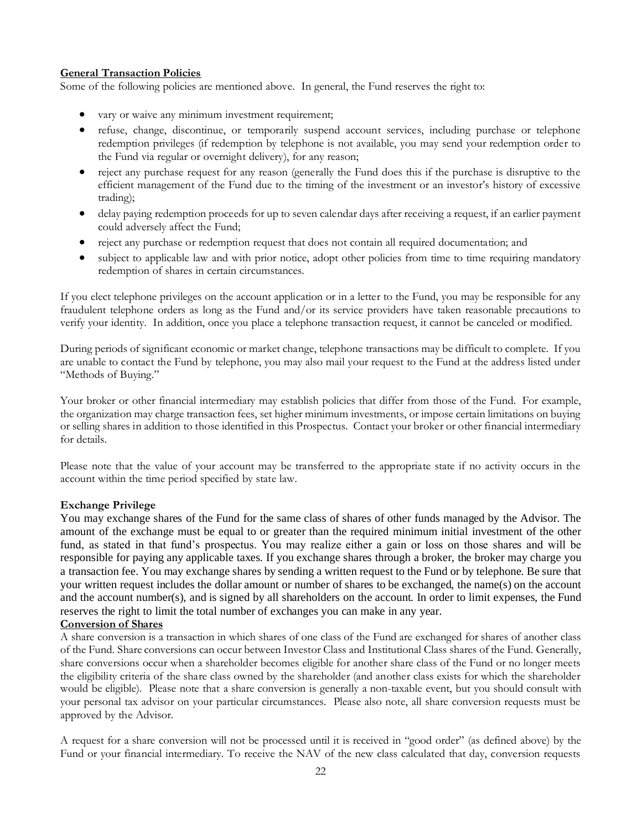# **General Transaction Policies**

Some of the following policies are mentioned above. In general, the Fund reserves the right to:

- vary or waive any minimum investment requirement;
- refuse, change, discontinue, or temporarily suspend account services, including purchase or telephone redemption privileges (if redemption by telephone is not available, you may send your redemption order to the Fund via regular or overnight delivery), for any reason;
- reject any purchase request for any reason (generally the Fund does this if the purchase is disruptive to the efficient management of the Fund due to the timing of the investment or an investor's history of excessive trading);
- delay paying redemption proceeds for up to seven calendar days after receiving a request, if an earlier payment could adversely affect the Fund;
- reject any purchase or redemption request that does not contain all required documentation; and
- subject to applicable law and with prior notice, adopt other policies from time to time requiring mandatory redemption of shares in certain circumstances.

If you elect telephone privileges on the account application or in a letter to the Fund, you may be responsible for any fraudulent telephone orders as long as the Fund and/or its service providers have taken reasonable precautions to verify your identity. In addition, once you place a telephone transaction request, it cannot be canceled or modified.

During periods of significant economic or market change, telephone transactions may be difficult to complete. If you are unable to contact the Fund by telephone, you may also mail your request to the Fund at the address listed under "Methods of Buying."

Your broker or other financial intermediary may establish policies that differ from those of the Fund. For example, the organization may charge transaction fees, set higher minimum investments, or impose certain limitations on buying or selling shares in addition to those identified in this Prospectus. Contact your broker or other financial intermediary for details.

Please note that the value of your account may be transferred to the appropriate state if no activity occurs in the account within the time period specified by state law.

# **Exchange Privilege**

You may exchange shares of the Fund for the same class of shares of other funds managed by the Advisor. The amount of the exchange must be equal to or greater than the required minimum initial investment of the other fund, as stated in that fund's prospectus. You may realize either a gain or loss on those shares and will be responsible for paying any applicable taxes. If you exchange shares through a broker, the broker may charge you a transaction fee. You may exchange shares by sending a written request to the Fund or by telephone. Be sure that your written request includes the dollar amount or number of shares to be exchanged, the name(s) on the account and the account number(s), and is signed by all shareholders on the account. In order to limit expenses, the Fund reserves the right to limit the total number of exchanges you can make in any year.

# **Conversion of Shares**

A share conversion is a transaction in which shares of one class of the Fund are exchanged for shares of another class of the Fund. Share conversions can occur between Investor Class and Institutional Class shares of the Fund. Generally, share conversions occur when a shareholder becomes eligible for another share class of the Fund or no longer meets the eligibility criteria of the share class owned by the shareholder (and another class exists for which the shareholder would be eligible). Please note that a share conversion is generally a non-taxable event, but you should consult with your personal tax advisor on your particular circumstances. Please also note, all share conversion requests must be approved by the Advisor.

A request for a share conversion will not be processed until it is received in "good order" (as defined above) by the Fund or your financial intermediary. To receive the NAV of the new class calculated that day, conversion requests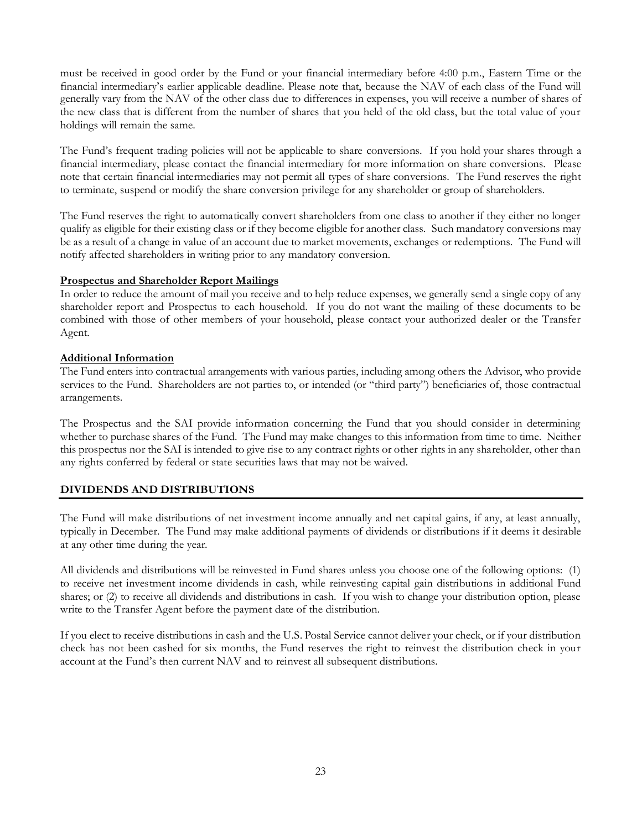must be received in good order by the Fund or your financial intermediary before 4:00 p.m., Eastern Time or the financial intermediary's earlier applicable deadline. Please note that, because the NAV of each class of the Fund will generally vary from the NAV of the other class due to differences in expenses, you will receive a number of shares of the new class that is different from the number of shares that you held of the old class, but the total value of your holdings will remain the same.

The Fund's frequent trading policies will not be applicable to share conversions. If you hold your shares through a financial intermediary, please contact the financial intermediary for more information on share conversions. Please note that certain financial intermediaries may not permit all types of share conversions. The Fund reserves the right to terminate, suspend or modify the share conversion privilege for any shareholder or group of shareholders.

The Fund reserves the right to automatically convert shareholders from one class to another if they either no longer qualify as eligible for their existing class or if they become eligible for another class. Such mandatory conversions may be as a result of a change in value of an account due to market movements, exchanges or redemptions. The Fund will notify affected shareholders in writing prior to any mandatory conversion.

# **Prospectus and Shareholder Report Mailings**

In order to reduce the amount of mail you receive and to help reduce expenses, we generally send a single copy of any shareholder report and Prospectus to each household. If you do not want the mailing of these documents to be combined with those of other members of your household, please contact your authorized dealer or the Transfer Agent.

# **Additional Information**

The Fund enters into contractual arrangements with various parties, including among others the Advisor, who provide services to the Fund. Shareholders are not parties to, or intended (or "third party") beneficiaries of, those contractual arrangements.

The Prospectus and the SAI provide information concerning the Fund that you should consider in determining whether to purchase shares of the Fund. The Fund may make changes to this information from time to time. Neither this prospectus nor the SAI is intended to give rise to any contract rights or other rights in any shareholder, other than any rights conferred by federal or state securities laws that may not be waived.

# <span id="page-24-0"></span>**DIVIDENDS AND DISTRIBUTIONS**

The Fund will make distributions of net investment income annually and net capital gains, if any, at least annually, typically in December. The Fund may make additional payments of dividends or distributions if it deems it desirable at any other time during the year.

All dividends and distributions will be reinvested in Fund shares unless you choose one of the following options: (1) to receive net investment income dividends in cash, while reinvesting capital gain distributions in additional Fund shares; or (2) to receive all dividends and distributions in cash. If you wish to change your distribution option, please write to the Transfer Agent before the payment date of the distribution.

If you elect to receive distributions in cash and the U.S. Postal Service cannot deliver your check, or if your distribution check has not been cashed for six months, the Fund reserves the right to reinvest the distribution check in your account at the Fund's then current NAV and to reinvest all subsequent distributions.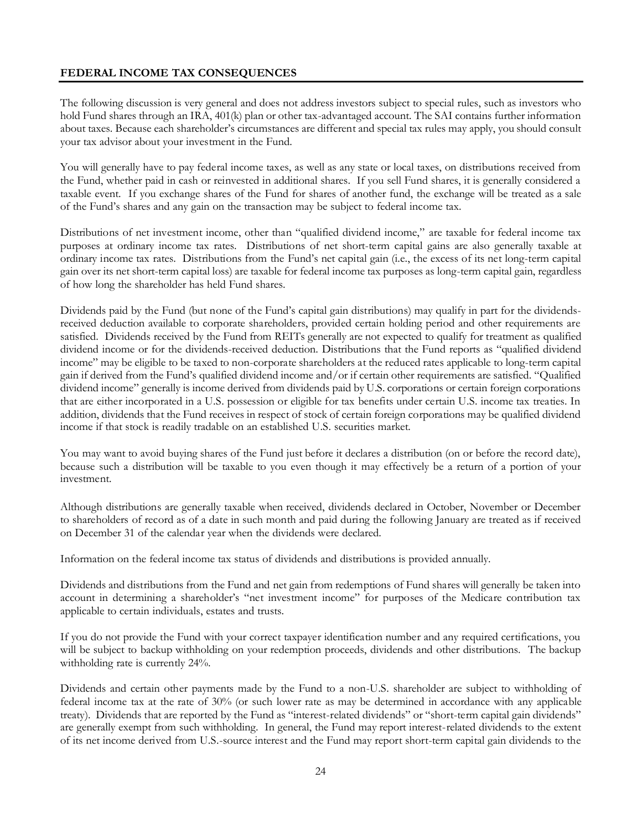# <span id="page-25-0"></span>**FEDERAL INCOME TAX CONSEQUENCES**

The following discussion is very general and does not address investors subject to special rules, such as investors who hold Fund shares through an IRA, 401(k) plan or other tax-advantaged account. The SAI contains further information about taxes. Because each shareholder's circumstances are different and special tax rules may apply, you should consult your tax advisor about your investment in the Fund.

You will generally have to pay federal income taxes, as well as any state or local taxes, on distributions received from the Fund, whether paid in cash or reinvested in additional shares. If you sell Fund shares, it is generally considered a taxable event. If you exchange shares of the Fund for shares of another fund, the exchange will be treated as a sale of the Fund's shares and any gain on the transaction may be subject to federal income tax.

Distributions of net investment income, other than "qualified dividend income," are taxable for federal income tax purposes at ordinary income tax rates. Distributions of net short-term capital gains are also generally taxable at ordinary income tax rates. Distributions from the Fund's net capital gain (i.e., the excess of its net long-term capital gain over its net short-term capital loss) are taxable for federal income tax purposes as long-term capital gain, regardless of how long the shareholder has held Fund shares.

Dividends paid by the Fund (but none of the Fund's capital gain distributions) may qualify in part for the dividendsreceived deduction available to corporate shareholders, provided certain holding period and other requirements are satisfied. Dividends received by the Fund from REITs generally are not expected to qualify for treatment as qualified dividend income or for the dividends-received deduction. Distributions that the Fund reports as "qualified dividend income" may be eligible to be taxed to non-corporate shareholders at the reduced rates applicable to long-term capital gain if derived from the Fund's qualified dividend income and/or if certain other requirements are satisfied. "Qualified dividend income" generally is income derived from dividends paid by U.S. corporations or certain foreign corporations that are either incorporated in a U.S. possession or eligible for tax benefits under certain U.S. income tax treaties. In addition, dividends that the Fund receives in respect of stock of certain foreign corporations may be qualified dividend income if that stock is readily tradable on an established U.S. securities market.

You may want to avoid buying shares of the Fund just before it declares a distribution (on or before the record date), because such a distribution will be taxable to you even though it may effectively be a return of a portion of your investment.

Although distributions are generally taxable when received, dividends declared in October, November or December to shareholders of record as of a date in such month and paid during the following January are treated as if received on December 31 of the calendar year when the dividends were declared.

Information on the federal income tax status of dividends and distributions is provided annually.

Dividends and distributions from the Fund and net gain from redemptions of Fund shares will generally be taken into account in determining a shareholder's "net investment income" for purposes of the Medicare contribution tax applicable to certain individuals, estates and trusts.

If you do not provide the Fund with your correct taxpayer identification number and any required certifications, you will be subject to backup withholding on your redemption proceeds, dividends and other distributions. The backup withholding rate is currently 24%.

Dividends and certain other payments made by the Fund to a non-U.S. shareholder are subject to withholding of federal income tax at the rate of 30% (or such lower rate as may be determined in accordance with any applicable treaty). Dividends that are reported by the Fund as "interest-related dividends" or "short-term capital gain dividends" are generally exempt from such withholding. In general, the Fund may report interest-related dividends to the extent of its net income derived from U.S.-source interest and the Fund may report short-term capital gain dividends to the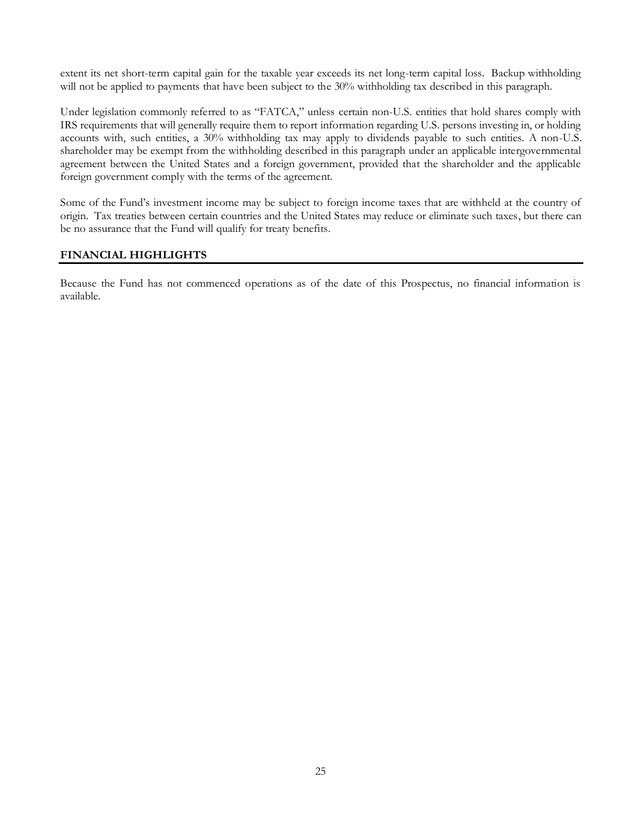extent its net short-term capital gain for the taxable year exceeds its net long-term capital loss. Backup withholding will not be applied to payments that have been subject to the 30% withholding tax described in this paragraph.

Under legislation commonly referred to as "FATCA," unless certain non-U.S. entities that hold shares comply with IRS requirements that will generally require them to report information regarding U.S. persons investing in, or holding accounts with, such entities, a 30% withholding tax may apply to dividends payable to such entities. A non-U.S. shareholder may be exempt from the withholding described in this paragraph under an applicable intergovernmental agreement between the United States and a foreign government, provided that the shareholder and the applicable foreign government comply with the terms of the agreement.

Some of the Fund's investment income may be subject to foreign income taxes that are withheld at the country of origin. Tax treaties between certain countries and the United States may reduce or eliminate such taxes, but there can be no assurance that the Fund will qualify for treaty benefits.

# <span id="page-26-0"></span>**FINANCIAL HIGHLIGHTS**

Because the Fund has not commenced operations as of the date of this Prospectus, no financial information is available.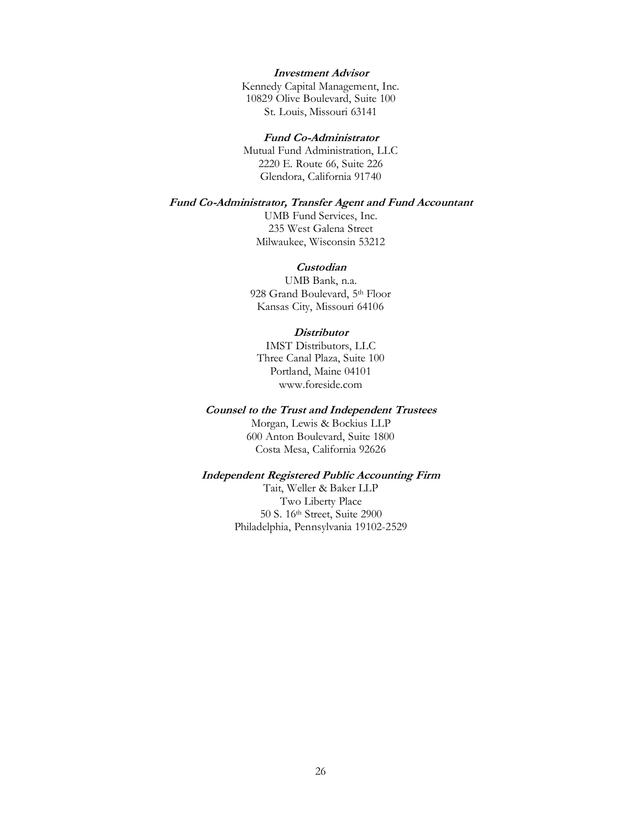# **Investment Advisor**

Kennedy Capital Management, Inc. 10829 Olive Boulevard, Suite 100 St. Louis, Missouri 63141

#### **Fund Co-Administrator**

Mutual Fund Administration, LLC 2220 E. Route 66, Suite 226 Glendora, California 91740

# **Fund Co-Administrator, Transfer Agent and Fund Accountant**

UMB Fund Services, Inc. 235 West Galena Street Milwaukee, Wisconsin 53212

#### **Custodian**

UMB Bank, n.a. 928 Grand Boulevard, 5th Floor Kansas City, Missouri 64106

#### **Distributor**

IMST Distributors, LLC Three Canal Plaza, Suite 100 Portland, Maine 04101 www.foreside.com

#### **Counsel to the Trust and Independent Trustees**

Morgan, Lewis & Bockius LLP 600 Anton Boulevard, Suite 1800 Costa Mesa, California 92626

# **Independent Registered Public Accounting Firm**

Tait, Weller & Baker LLP Two Liberty Place 50 S. 16th Street, Suite 2900 Philadelphia, Pennsylvania 19102-2529